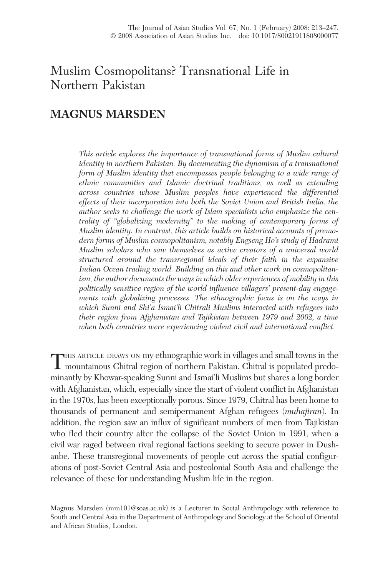# Muslim Cosmopolitans? Transnational Life in Northern Pakistan

## MAGNUS MARSDEN

This article explores the importance of transnational forms of Muslim cultural identity in northern Pakistan. By documenting the dynamism of a transnational form of Muslim identity that encompasses people belonging to a wide range of ethnic communities and Islamic doctrinal traditions, as well as extending across countries whose Muslim peoples have experienced the differential effects of their incorporation into both the Soviet Union and British India, the author seeks to challenge the work of Islam specialists who emphasize the centrality of "globalizing modernity" to the making of contemporary forms of Muslim identity. In contrast, this article builds on historical accounts of premodern forms of Muslim cosmopolitanism, notably Engseng Ho's study of Hadrami Muslim scholars who saw themselves as active creators of a universal world structured around the transregional ideals of their faith in the expansive Indian Ocean trading world. Building on this and other work on cosmopolitanism, the author documents the ways in which older experiences of mobility in this politically sensitive region of the world influence villagers' present-day engagements with globalizing processes. The ethnographic focus is on the ways in which Sunni and Shi'a Ismai'li Chitrali Muslims interacted with refugees into their region from Afghanistan and Tajikistan between 1979 and 2002, a time when both countries were experiencing violent civil and international conflict.

THIS ARTICLE DRAWS ON my ethnographic work in villages and small towns in the mountainous Chitral region of northern Pakistan. Chitral is populated predominantly by Khowar-speaking Sunni and Ismai'li Muslims but shares a long border with Afghanistan, which, especially since the start of violent conflict in Afghanistan in the 1970s, has been exceptionally porous. Since 1979, Chitral has been home to thousands of permanent and semipermanent Afghan refugees (muhajiran). In addition, the region saw an influx of significant numbers of men from Tajikistan who fled their country after the collapse of the Soviet Union in 1991, when a civil war raged between rival regional factions seeking to secure power in Dushanbe. These transregional movements of people cut across the spatial configurations of post-Soviet Central Asia and postcolonial South Asia and challenge the relevance of these for understanding Muslim life in the region.

Magnus Marsden (mm101@soas.ac.uk) is a Lecturer in Social Anthropology with reference to South and Central Asia in the Department of Anthropology and Sociology at the School of Oriental and African Studies, London.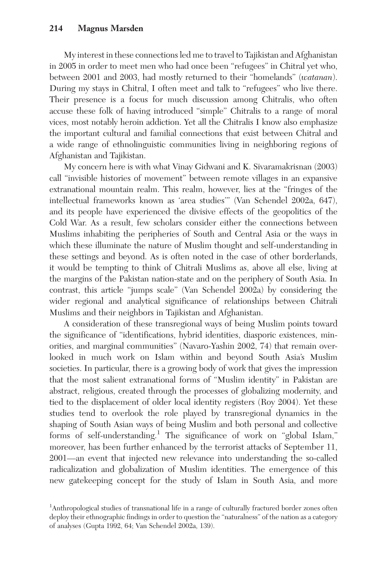My interest in these connections led me to travel to Tajikistan and Afghanistan in 2005 in order to meet men who had once been "refugees" in Chitral yet who, between 2001 and 2003, had mostly returned to their "homelands" (watanan). During my stays in Chitral, I often meet and talk to "refugees" who live there. Their presence is a focus for much discussion among Chitralis, who often accuse these folk of having introduced "simple" Chitralis to a range of moral vices, most notably heroin addiction. Yet all the Chitralis I know also emphasize the important cultural and familial connections that exist between Chitral and a wide range of ethnolinguistic communities living in neighboring regions of Afghanistan and Tajikistan.

My concern here is with what Vinay Gidwani and K. Sivaramakrisnan (2003) call "invisible histories of movement" between remote villages in an expansive extranational mountain realm. This realm, however, lies at the "fringes of the intellectual frameworks known as 'area studies'" (Van Schendel 2002a, 647), and its people have experienced the divisive effects of the geopolitics of the Cold War. As a result, few scholars consider either the connections between Muslims inhabiting the peripheries of South and Central Asia or the ways in which these illuminate the nature of Muslim thought and self-understanding in these settings and beyond. As is often noted in the case of other borderlands, it would be tempting to think of Chitrali Muslims as, above all else, living at the margins of the Pakistan nation-state and on the periphery of South Asia. In contrast, this article "jumps scale" (Van Schendel 2002a) by considering the wider regional and analytical significance of relationships between Chitrali Muslims and their neighbors in Tajikistan and Afghanistan.

A consideration of these transregional ways of being Muslim points toward the significance of "identifications, hybrid identities, diasporic existences, minorities, and marginal communities" (Navaro-Yashin 2002, 74) that remain overlooked in much work on Islam within and beyond South Asia's Muslim societies. In particular, there is a growing body of work that gives the impression that the most salient extranational forms of "Muslim identity" in Pakistan are abstract, religious, created through the processes of globalizing modernity, and tied to the displacement of older local identity registers (Roy 2004). Yet these studies tend to overlook the role played by transregional dynamics in the shaping of South Asian ways of being Muslim and both personal and collective forms of self-understanding.<sup>1</sup> The significance of work on "global Islam," moreover, has been further enhanced by the terrorist attacks of September 11, 2001—an event that injected new relevance into understanding the so-called radicalization and globalization of Muslim identities. The emergence of this new gatekeeping concept for the study of Islam in South Asia, and more

<sup>&</sup>lt;sup>1</sup>Anthropological studies of transnational life in a range of culturally fractured border zones often deploy their ethnographic findings in order to question the "naturalness" of the nation as a category of analyses (Gupta 1992, 64; Van Schendel 2002a, 139).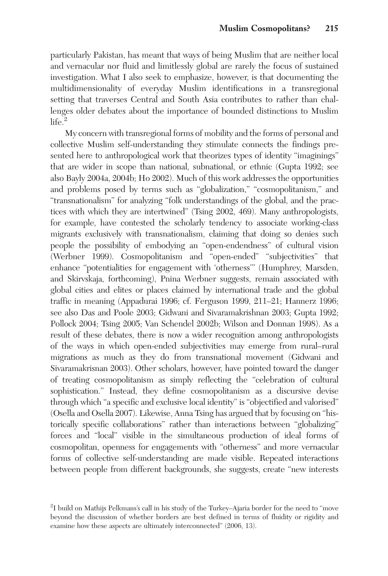particularly Pakistan, has meant that ways of being Muslim that are neither local and vernacular nor fluid and limitlessly global are rarely the focus of sustained investigation. What I also seek to emphasize, however, is that documenting the multidimensionality of everyday Muslim identifications in a transregional setting that traverses Central and South Asia contributes to rather than challenges older debates about the importance of bounded distinctions to Muslim  $life.<sup>2</sup>$ 

My concern with transregional forms of mobility and the forms of personal and collective Muslim self-understanding they stimulate connects the findings presented here to anthropological work that theorizes types of identity "imaginings" that are wider in scope than national, subnational, or ethnic (Gupta 1992; see also Bayly 2004a, 2004b; Ho 2002). Much of this work addresses the opportunities and problems posed by terms such as "globalization," "cosmopolitanism," and "transnationalism" for analyzing "folk understandings of the global, and the practices with which they are intertwined" (Tsing 2002, 469). Many anthropologists, for example, have contested the scholarly tendency to associate working-class migrants exclusively with transnationalism, claiming that doing so denies such people the possibility of embodying an "open-endendness" of cultural vision (Werbner 1999). Cosmopolitanism and "open-ended" "subjectivities" that enhance "potentialities for engagement with 'otherness'" (Humphrey, Marsden, and Skirvskaja, forthcoming), Pnina Werbner suggests, remain associated with global cities and elites or places claimed by international trade and the global traffic in meaning (Appadurai 1996; cf. Ferguson 1999, 211–21; Hannerz 1996; see also Das and Poole 2003; Gidwani and Sivaramakrishnan 2003; Gupta 1992; Pollock 2004; Tsing 2005; Van Schendel 2002b; Wilson and Donnan 1998). As a result of these debates, there is now a wider recognition among anthropologists of the ways in which open-ended subjectivities may emerge from rural–rural migrations as much as they do from transnational movement (Gidwani and Sivaramakrisnan 2003). Other scholars, however, have pointed toward the danger of treating cosmopolitanism as simply reflecting the "celebration of cultural sophistication." Instead, they define cosmopolitanism as a discursive devise through which "a specific and exclusive local identity" is "objectified and valorised" (Osella and Osella 2007). Likewise, Anna Tsing has argued that by focusing on "historically specific collaborations" rather than interactions between "globalizing" forces and "local" visible in the simultaneous production of ideal forms of cosmopolitan, openness for engagements with "otherness" and more vernacular forms of collective self-understanding are made visible. Repeated interactions between people from different backgrounds, she suggests, create "new interests

<sup>&</sup>lt;sup>2</sup>I build on Mathijs Pelkmans's call in his study of the Turkey–Ajaria border for the need to "move beyond the discussion of whether borders are best defined in terms of fluidity or rigidity and examine how these aspects are ultimately interconnected" (2006, 13).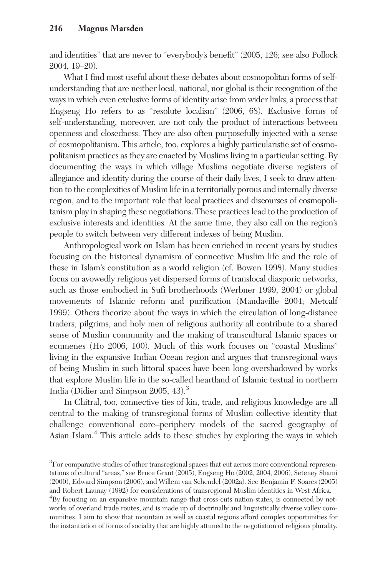and identities" that are never to "everybody's benefit" (2005, 126; see also Pollock 2004, 19–20).

What I find most useful about these debates about cosmopolitan forms of selfunderstanding that are neither local, national, nor global is their recognition of the ways in which even exclusive forms of identity arise from wider links, a process that Engseng Ho refers to as "resolute localism" (2006, 68). Exclusive forms of self-understanding, moreover, are not only the product of interactions between openness and closedness: They are also often purposefully injected with a sense of cosmopolitanism. This article, too, explores a highly particularistic set of cosmopolitanism practices as they are enacted by Muslims living in a particular setting. By documenting the ways in which village Muslims negotiate diverse registers of allegiance and identity during the course of their daily lives, I seek to draw attention to the complexities of Muslim life in a territorially porous and internally diverse region, and to the important role that local practices and discourses of cosmopolitanism play in shaping these negotiations. These practices lead to the production of exclusive interests and identities. At the same time, they also call on the region's people to switch between very different indexes of being Muslim.

Anthropological work on Islam has been enriched in recent years by studies focusing on the historical dynamism of connective Muslim life and the role of these in Islam's constitution as a world religion (cf. Bowen 1998). Many studies focus on avowedly religious yet dispersed forms of translocal diasporic networks, such as those embodied in Sufi brotherhoods (Werbner 1999, 2004) or global movements of Islamic reform and purification (Mandaville 2004; Metcalf 1999). Others theorize about the ways in which the circulation of long-distance traders, pilgrims, and holy men of religious authority all contribute to a shared sense of Muslim community and the making of transcultural Islamic spaces or ecumenes (Ho 2006, 100). Much of this work focuses on "coastal Muslims" living in the expansive Indian Ocean region and argues that transregional ways of being Muslim in such littoral spaces have been long overshadowed by works that explore Muslim life in the so-called heartland of Islamic textual in northern India (Didier and Simpson 2005, 43).<sup>3</sup>

In Chitral, too, connective ties of kin, trade, and religious knowledge are all central to the making of transregional forms of Muslim collective identity that challenge conventional core–periphery models of the sacred geography of Asian Islam.<sup>4</sup> This article adds to these studies by exploring the ways in which

 ${}^{3}$ For comparative studies of other transregional spaces that cut across more conventional representations of cultural "areas," see Bruce Grant (2005), Engseng Ho (2002, 2004, 2006), Seteney Shami (2000), Edward Simpson (2006), and Willem van Schendel (2002a). See Benjamin F. Soares (2005) and Robert Launay (1992) for considerations of transregional Muslim identities in West Africa.

<sup>4</sup> By focusing on an expansive mountain range that cross-cuts nation-states, is connected by networks of overland trade routes, and is made up of doctrinally and linguistically diverse valley communities, I aim to show that mountain as well as coastal regions afford complex opportunities for the instantiation of forms of sociality that are highly attuned to the negotiation of religious plurality.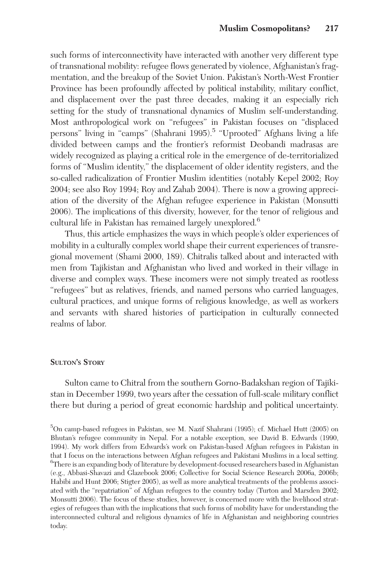such forms of interconnectivity have interacted with another very different type of transnational mobility: refugee flows generated by violence, Afghanistan's fragmentation, and the breakup of the Soviet Union. Pakistan's North-West Frontier Province has been profoundly affected by political instability, military conflict, and displacement over the past three decades, making it an especially rich setting for the study of transnational dynamics of Muslim self-understanding. Most anthropological work on "refugees" in Pakistan focuses on "displaced persons" living in "camps" (Shahrani 1995).<sup>5</sup> "Uprooted" Afghans living a life divided between camps and the frontier's reformist Deobandi madrasas are widely recognized as playing a critical role in the emergence of de-territorialized forms of "Muslim identity," the displacement of older identity registers, and the so-called radicalization of Frontier Muslim identities (notably Kepel 2002; Roy 2004; see also Roy 1994; Roy and Zahab 2004). There is now a growing appreciation of the diversity of the Afghan refugee experience in Pakistan (Monsutti 2006). The implications of this diversity, however, for the tenor of religious and cultural life in Pakistan has remained largely unexplored.<sup>6</sup>

Thus, this article emphasizes the ways in which people's older experiences of mobility in a culturally complex world shape their current experiences of transregional movement (Shami 2000, 189). Chitralis talked about and interacted with men from Tajikistan and Afghanistan who lived and worked in their village in diverse and complex ways. These incomers were not simply treated as rootless "refugees" but as relatives, friends, and named persons who carried languages, cultural practices, and unique forms of religious knowledge, as well as workers and servants with shared histories of participation in culturally connected realms of labor.

#### SULTON'<sup>S</sup> STORY

Sulton came to Chitral from the southern Gorno-Badakshan region of Tajikistan in December 1999, two years after the cessation of full-scale military conflict there but during a period of great economic hardship and political uncertainty.

<sup>5</sup> On camp-based refugees in Pakistan, see M. Nazif Shahrani (1995); cf. Michael Hutt (2005) on Bhutan's refugee community in Nepal. For a notable exception, see David B. Edwards (1990, 1994). My work differs from Edwards's work on Pakistan-based Afghan refugees in Pakistan in that I focus on the interactions between Afghan refugees and Pakistani Muslims in a local setting. <sup>6</sup>There is an expanding body of literature by development-focused researchers based in Afghanistan (e.g., Abbasi-Shavazi and Glazebook 2006; Collective for Social Science Research 2006a, 2006b; Habibi and Hunt 2006; Stigter 2005), as well as more analytical treatments of the problems associated with the "repatriation" of Afghan refugees to the country today (Turton and Marsden 2002; Monsutti 2006). The focus of these studies, however, is concerned more with the livelihood strategies of refugees than with the implications that such forms of mobility have for understanding the interconnected cultural and religious dynamics of life in Afghanistan and neighboring countries today.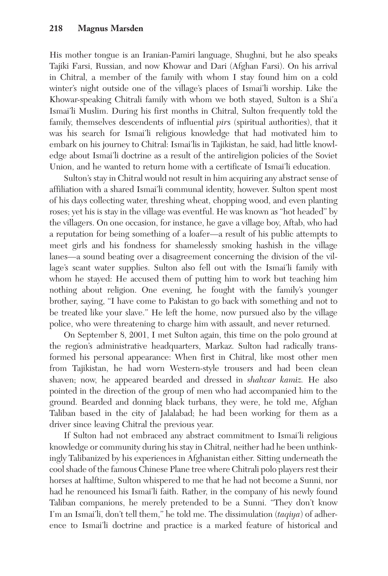His mother tongue is an Iranian-Pamiri language, Shughni, but he also speaks Tajiki Farsi, Russian, and now Khowar and Dari (Afghan Farsi). On his arrival in Chitral, a member of the family with whom I stay found him on a cold winter's night outside one of the village's places of Ismai'li worship. Like the Khowar-speaking Chitrali family with whom we both stayed, Sulton is a Shi'a Ismai'li Muslim. During his first months in Chitral, Sulton frequently told the family, themselves descendents of influential *pirs* (spiritual authorities), that it was his search for Ismai'li religious knowledge that had motivated him to embark on his journey to Chitral: Ismai'lis in Tajikistan, he said, had little knowledge about Ismai'li doctrine as a result of the antireligion policies of the Soviet Union, and he wanted to return home with a certificate of Ismai'li education.

Sulton's stay in Chitral would not result in him acquiring any abstract sense of affiliation with a shared Ismai'li communal identity, however. Sulton spent most of his days collecting water, threshing wheat, chopping wood, and even planting roses; yet his is stay in the village was eventful. He was known as "hot headed" by the villagers. On one occasion, for instance, he gave a village boy, Aftab, who had a reputation for being something of a loafer—a result of his public attempts to meet girls and his fondness for shamelessly smoking hashish in the village lanes—a sound beating over a disagreement concerning the division of the village's scant water supplies. Sulton also fell out with the Ismai'li family with whom he stayed: He accused them of putting him to work but teaching him nothing about religion. One evening, he fought with the family's younger brother, saying, "I have come to Pakistan to go back with something and not to be treated like your slave." He left the home, now pursued also by the village police, who were threatening to charge him with assault, and never returned.

On September 8, 2001, I met Sulton again, this time on the polo ground at the region's administrative headquarters, Markaz. Sulton had radically transformed his personal appearance: When first in Chitral, like most other men from Tajikistan, he had worn Western-style trousers and had been clean shaven; now, he appeared bearded and dressed in shalwar kamiz. He also pointed in the direction of the group of men who had accompanied him to the ground. Bearded and donning black turbans, they were, he told me, Afghan Taliban based in the city of Jalalabad; he had been working for them as a driver since leaving Chitral the previous year.

If Sulton had not embraced any abstract commitment to Ismai'li religious knowledge or community during his stay in Chitral, neither had he been unthinkingly Talibanized by his experiences in Afghanistan either. Sitting underneath the cool shade of the famous Chinese Plane tree where Chitrali polo players rest their horses at halftime, Sulton whispered to me that he had not become a Sunni, nor had he renounced his Ismai'li faith. Rather, in the company of his newly found Taliban companions, he merely pretended to be a Sunni. "They don't know I'm an Ismai'li, don't tell them," he told me. The dissimulation (taqiya) of adherence to Ismai'li doctrine and practice is a marked feature of historical and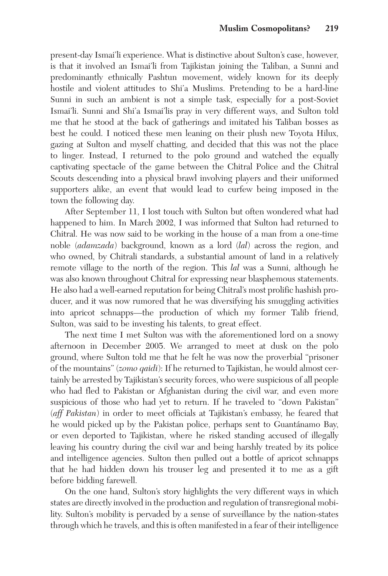present-day Ismai'li experience. What is distinctive about Sulton's case, however, is that it involved an Ismai'li from Tajikistan joining the Taliban, a Sunni and predominantly ethnically Pashtun movement, widely known for its deeply hostile and violent attitudes to Shi'a Muslims. Pretending to be a hard-line Sunni in such an ambient is not a simple task, especially for a post-Soviet Ismai'li. Sunni and Shi'a Ismai'lis pray in very different ways, and Sulton told me that he stood at the back of gatherings and imitated his Taliban bosses as best he could. I noticed these men leaning on their plush new Toyota Hilux, gazing at Sulton and myself chatting, and decided that this was not the place to linger. Instead, I returned to the polo ground and watched the equally captivating spectacle of the game between the Chitral Police and the Chitral Scouts descending into a physical brawl involving players and their uniformed supporters alike, an event that would lead to curfew being imposed in the town the following day.

After September 11, I lost touch with Sulton but often wondered what had happened to him. In March 2002, I was informed that Sulton had returned to Chitral. He was now said to be working in the house of a man from a one-time noble (adamzada) background, known as a lord (lal) across the region, and who owned, by Chitrali standards, a substantial amount of land in a relatively remote village to the north of the region. This *lal* was a Sunni, although he was also known throughout Chitral for expressing near blasphemous statements. He also had a well-earned reputation for being Chitral's most prolific hashish producer, and it was now rumored that he was diversifying his smuggling activities into apricot schnapps—the production of which my former Talib friend, Sulton, was said to be investing his talents, to great effect.

The next time I met Sulton was with the aforementioned lord on a snowy afternoon in December 2005. We arranged to meet at dusk on the polo ground, where Sulton told me that he felt he was now the proverbial "prisoner of the mountains" (zomo qaidi): If he returned to Tajikistan, he would almost certainly be arrested by Tajikistan's security forces, who were suspicious of all people who had fled to Pakistan or Afghanistan during the civil war, and even more suspicious of those who had yet to return. If he traveled to "down Pakistan" (aff Pakistan) in order to meet officials at Tajikistan's embassy, he feared that he would picked up by the Pakistan police, perhaps sent to Guantánamo Bay, or even deported to Tajikistan, where he risked standing accused of illegally leaving his country during the civil war and being harshly treated by its police and intelligence agencies. Sulton then pulled out a bottle of apricot schnapps that he had hidden down his trouser leg and presented it to me as a gift before bidding farewell.

On the one hand, Sulton's story highlights the very different ways in which states are directly involved in the production and regulation of transregional mobility. Sulton's mobility is pervaded by a sense of surveillance by the nation-states through which he travels, and this is often manifested in a fear of their intelligence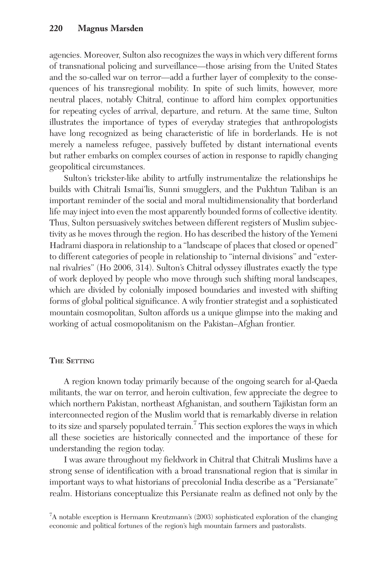agencies. Moreover, Sulton also recognizes the ways in which very different forms of transnational policing and surveillance—those arising from the United States and the so-called war on terror—add a further layer of complexity to the consequences of his transregional mobility. In spite of such limits, however, more neutral places, notably Chitral, continue to afford him complex opportunities for repeating cycles of arrival, departure, and return. At the same time, Sulton illustrates the importance of types of everyday strategies that anthropologists have long recognized as being characteristic of life in borderlands. He is not merely a nameless refugee, passively buffeted by distant international events but rather embarks on complex courses of action in response to rapidly changing geopolitical circumstances.

Sulton's trickster-like ability to artfully instrumentalize the relationships he builds with Chitrali Ismai'lis, Sunni smugglers, and the Pukhtun Taliban is an important reminder of the social and moral multidimensionality that borderland life may inject into even the most apparently bounded forms of collective identity. Thus, Sulton persuasively switches between different registers of Muslim subjectivity as he moves through the region. Ho has described the history of the Yemeni Hadrami diaspora in relationship to a "landscape of places that closed or opened" to different categories of people in relationship to "internal divisions" and "external rivalries" (Ho 2006, 314). Sulton's Chitral odyssey illustrates exactly the type of work deployed by people who move through such shifting moral landscapes, which are divided by colonially imposed boundaries and invested with shifting forms of global political significance. A wily frontier strategist and a sophisticated mountain cosmopolitan, Sulton affords us a unique glimpse into the making and working of actual cosmopolitanism on the Pakistan–Afghan frontier.

#### THE SETTING

A region known today primarily because of the ongoing search for al-Qaeda militants, the war on terror, and heroin cultivation, few appreciate the degree to which northern Pakistan, northeast Afghanistan, and southern Tajikistan form an interconnected region of the Muslim world that is remarkably diverse in relation to its size and sparsely populated terrain.<sup>7</sup> This section explores the ways in which all these societies are historically connected and the importance of these for understanding the region today.

I was aware throughout my fieldwork in Chitral that Chitrali Muslims have a strong sense of identification with a broad transnational region that is similar in important ways to what historians of precolonial India describe as a "Persianate" realm. Historians conceptualize this Persianate realm as defined not only by the

7 A notable exception is Hermann Kreutzmann's (2003) sophisticated exploration of the changing economic and political fortunes of the region's high mountain farmers and pastoralists.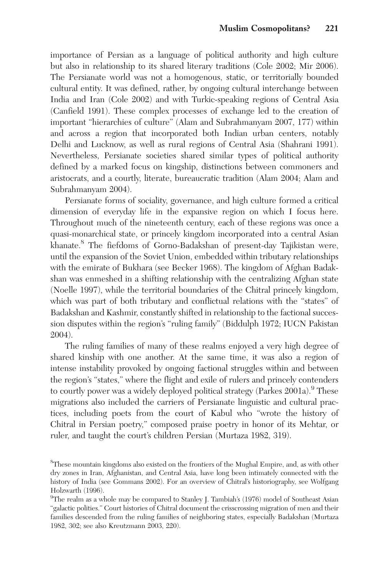importance of Persian as a language of political authority and high culture but also in relationship to its shared literary traditions (Cole 2002; Mir 2006). The Persianate world was not a homogenous, static, or territorially bounded cultural entity. It was defined, rather, by ongoing cultural interchange between India and Iran (Cole 2002) and with Turkic-speaking regions of Central Asia (Canfield 1991). These complex processes of exchange led to the creation of important "hierarchies of culture" (Alam and Subrahmanyam 2007, 177) within and across a region that incorporated both Indian urban centers, notably Delhi and Lucknow, as well as rural regions of Central Asia (Shahrani 1991). Nevertheless, Persianate societies shared similar types of political authority defined by a marked focus on kingship, distinctions between commoners and aristocrats, and a courtly, literate, bureaucratic tradition (Alam 2004; Alam and Subrahmanyam 2004).

Persianate forms of sociality, governance, and high culture formed a critical dimension of everyday life in the expansive region on which I focus here. Throughout much of the nineteenth century, each of these regions was once a quasi-monarchical state, or princely kingdom incorporated into a central Asian khanate.<sup>8</sup> The fiefdoms of Gorno-Badakshan of present-day Tajikistan were, until the expansion of the Soviet Union, embedded within tributary relationships with the emirate of Bukhara (see Becker 1968). The kingdom of Afghan Badakshan was enmeshed in a shifting relationship with the centralizing Afghan state (Noelle 1997), while the territorial boundaries of the Chitral princely kingdom, which was part of both tributary and conflictual relations with the "states" of Badakshan and Kashmir, constantly shifted in relationship to the factional succession disputes within the region's "ruling family" (Biddulph 1972; IUCN Pakistan 2004).

The ruling families of many of these realms enjoyed a very high degree of shared kinship with one another. At the same time, it was also a region of intense instability provoked by ongoing factional struggles within and between the region's "states," where the flight and exile of rulers and princely contenders to courtly power was a widely deployed political strategy (Parkes 2001a).<sup>9</sup> These migrations also included the carriers of Persianate linguistic and cultural practices, including poets from the court of Kabul who "wrote the history of Chitral in Persian poetry," composed praise poetry in honor of its Mehtar, or ruler, and taught the court's children Persian (Murtaza 1982, 319).

<sup>&</sup>lt;sup>8</sup>These mountain kingdoms also existed on the frontiers of the Mughal Empire, and, as with other dry zones in Iran, Afghanistan, and Central Asia, have long been intimately connected with the history of India (see Gommans 2002). For an overview of Chitral's historiography, see Wolfgang Holzwarth (1996).

<sup>&</sup>lt;sup>9</sup>The realm as a whole may be compared to Stanley J. Tambiah's (1976) model of Southeast Asian "galactic polities." Court histories of Chitral document the crisscrossing migration of men and their families descended from the ruling families of neighboring states, especially Badakshan (Murtaza 1982, 302; see also Kreutzmann 2003, 220).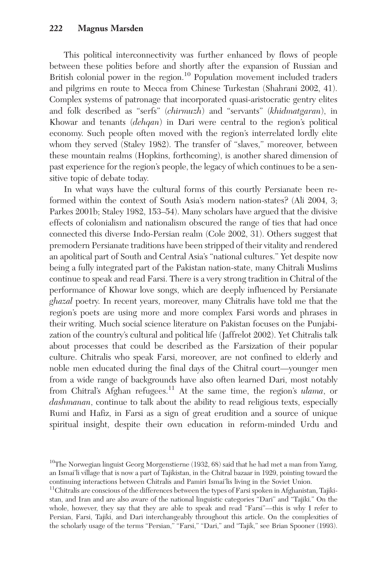This political interconnectivity was further enhanced by flows of people between these polities before and shortly after the expansion of Russian and British colonial power in the region.<sup>10</sup> Population movement included traders and pilgrims en route to Mecca from Chinese Turkestan (Shahrani 2002, 41). Complex systems of patronage that incorporated quasi-aristocratic gentry elites and folk described as "serfs" (chirmuzh) and "servants" (khidmatgaran), in Khowar and tenants (dehqan) in Dari were central to the region's political economy. Such people often moved with the region's interrelated lordly elite whom they served (Staley 1982). The transfer of "slaves," moreover, between these mountain realms (Hopkins, forthcoming), is another shared dimension of past experience for the region's people, the legacy of which continues to be a sensitive topic of debate today.

In what ways have the cultural forms of this courtly Persianate been reformed within the context of South Asia's modern nation-states? (Ali 2004, 3; Parkes 2001b; Staley 1982, 153–54). Many scholars have argued that the divisive effects of colonialism and nationalism obscured the range of ties that had once connected this diverse Indo-Persian realm (Cole 2002, 31). Others suggest that premodern Persianate traditions have been stripped of their vitality and rendered an apolitical part of South and Central Asia's "national cultures." Yet despite now being a fully integrated part of the Pakistan nation-state, many Chitrali Muslims continue to speak and read Farsi. There is a very strong tradition in Chitral of the performance of Khowar love songs, which are deeply influenced by Persianate ghazal poetry. In recent years, moreover, many Chitralis have told me that the region's poets are using more and more complex Farsi words and phrases in their writing. Much social science literature on Pakistan focuses on the Punjabization of the country's cultural and political life (Jaffrelot 2002). Yet Chitralis talk about processes that could be described as the Farsization of their popular culture. Chitralis who speak Farsi, moreover, are not confined to elderly and noble men educated during the final days of the Chitral court—younger men from a wide range of backgrounds have also often learned Dari, most notably from Chitral's Afghan refugees.<sup>11</sup> At the same time, the region's *ulama*, or dashmanan, continue to talk about the ability to read religious texts, especially Rumi and Hafiz, in Farsi as a sign of great erudition and a source of unique spiritual insight, despite their own education in reform-minded Urdu and

<sup>&</sup>lt;sup>10</sup>The Norwegian linguist Georg Morgenstierne (1932,  $68$ ) said that he had met a man from Yamg, an Ismai'li village that is now a part of Tajikistan, in the Chitral bazaar in 1929, pointing toward the

continuing interactions between Chitralis and Pamiri Ismai'lis living in the Soviet Union. 11Chitralis are conscious of the differences between the types of Farsi spoken in Afghanistan, Tajikistan, and Iran and are also aware of the national linguistic categories "Dari" and "Tajiki." On the whole, however, they say that they are able to speak and read "Farsi"—this is why I refer to Persian, Farsi, Tajiki, and Dari interchangeably throughout this article. On the complexities of the scholarly usage of the terms "Persian," "Farsi," "Dari," and "Tajik," see Brian Spooner (1993).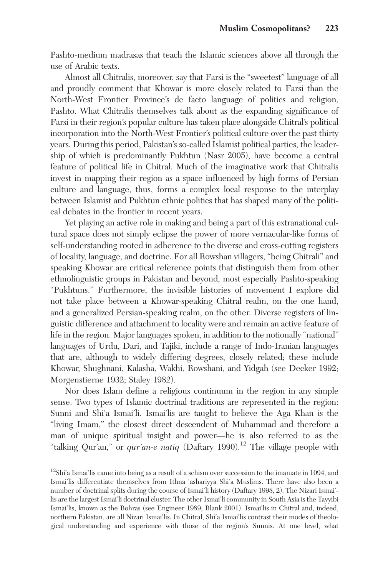Pashto-medium madrasas that teach the Islamic sciences above all through the use of Arabic texts.

Almost all Chitralis, moreover, say that Farsi is the "sweetest" language of all and proudly comment that Khowar is more closely related to Farsi than the North-West Frontier Province's de facto language of politics and religion, Pashto. What Chitralis themselves talk about as the expanding significance of Farsi in their region's popular culture has taken place alongside Chitral's political incorporation into the North-West Frontier's political culture over the past thirty years. During this period, Pakistan's so-called Islamist political parties, the leadership of which is predominantly Pukhtun (Nasr 2005), have become a central feature of political life in Chitral. Much of the imaginative work that Chitralis invest in mapping their region as a space influenced by high forms of Persian culture and language, thus, forms a complex local response to the interplay between Islamist and Pukhtun ethnic politics that has shaped many of the political debates in the frontier in recent years.

Yet playing an active role in making and being a part of this extranational cultural space does not simply eclipse the power of more vernacular-like forms of self-understanding rooted in adherence to the diverse and cross-cutting registers of locality, language, and doctrine. For all Rowshan villagers, "being Chitrali" and speaking Khowar are critical reference points that distinguish them from other ethnolinguistic groups in Pakistan and beyond, most especially Pashto-speaking "Pukhtuns." Furthermore, the invisible histories of movement I explore did not take place between a Khowar-speaking Chitral realm, on the one hand, and a generalized Persian-speaking realm, on the other. Diverse registers of linguistic difference and attachment to locality were and remain an active feature of life in the region. Major languages spoken, in addition to the notionally "national" languages of Urdu, Dari, and Tajiki, include a range of Indo-Iranian languages that are, although to widely differing degrees, closely related; these include Khowar, Shughnani, Kalasha, Wakhi, Rowshani, and Yidgah (see Decker 1992; Morgenstierne 1932; Staley 1982).

Nor does Islam define a religious continuum in the region in any simple sense. Two types of Islamic doctrinal traditions are represented in the region: Sunni and Shi'a Ismai'li. Ismai'lis are taught to believe the Aga Khan is the "living Imam," the closest direct descendent of Muhammad and therefore a man of unique spiritual insight and power—he is also referred to as the "talking Qur'an," or  $qur'an-e$  natiq (Daftary 1990).<sup>12</sup> The village people with

 $12$ Shi'a Ismai'lis came into being as a result of a schism over succession to the imamate in 1094, and Ismai'lis differentiate themselves from Ithna 'ashariyya Shi'a Muslims. There have also been a number of doctrinal splits during the course of Ismai'li history (Daftary 1998, 2). The Nizari Ismai' lis are the largest Ismai'li doctrinal cluster. The other Ismai'li community in South Asia is the Tayyibi Ismai'lis, known as the Bohras (see Engineer 1989; Blank 2001). Ismai'lis in Chitral and, indeed, northern Pakistan, are all Nizari Ismai'lis. In Chitral, Shi'a Ismai'lis contrast their modes of theological understanding and experience with those of the region's Sunnis. At one level, what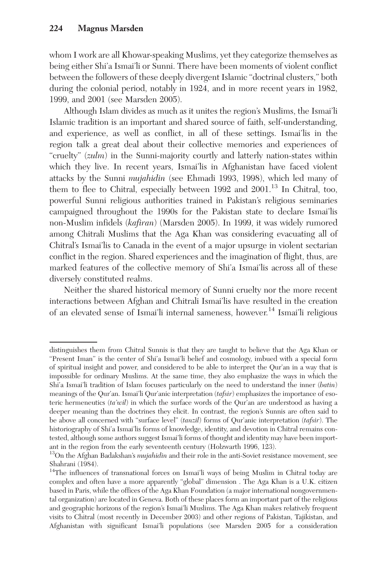whom I work are all Khowar-speaking Muslims, yet they categorize themselves as being either Shi'a Ismai'li or Sunni. There have been moments of violent conflict between the followers of these deeply divergent Islamic "doctrinal clusters," both during the colonial period, notably in 1924, and in more recent years in 1982, 1999, and 2001 (see Marsden 2005).

Although Islam divides as much as it unites the region's Muslims, the Ismai'li Islamic tradition is an important and shared source of faith, self-understanding, and experience, as well as conflict, in all of these settings. Ismai'lis in the region talk a great deal about their collective memories and experiences of "cruelty" (*zulm*) in the Sunni-majority courtly and latterly nation-states within which they live. In recent years, Ismai'lis in Afghanistan have faced violent attacks by the Sunni mujahidin (see Ehmadi 1993, 1998), which led many of them to flee to Chitral, especially between 1992 and 2001.<sup>13</sup> In Chitral, too, powerful Sunni religious authorities trained in Pakistan's religious seminaries campaigned throughout the 1990s for the Pakistan state to declare Ismai'lis non-Muslim infidels (kafiran) (Marsden 2005). In 1999, it was widely rumored among Chitrali Muslims that the Aga Khan was considering evacuating all of Chitral's Ismai'lis to Canada in the event of a major upsurge in violent sectarian conflict in the region. Shared experiences and the imagination of flight, thus, are marked features of the collective memory of Shi'a Ismai'lis across all of these diversely constituted realms.

Neither the shared historical memory of Sunni cruelty nor the more recent interactions between Afghan and Chitrali Ismai'lis have resulted in the creation of an elevated sense of Ismai'li internal sameness, however.<sup>14</sup> Ismai'li religious

distinguishes them from Chitral Sunnis is that they are taught to believe that the Aga Khan or "Present Iman" is the center of Shi'a Ismai'li belief and cosmology, imbued with a special form of spiritual insight and power, and considered to be able to interpret the Qur'an in a way that is impossible for ordinary Muslims. At the same time, they also emphasize the ways in which the Shi'a Ismai'li tradition of Islam focuses particularly on the need to understand the inner (batin) meanings of the Qur'an. Ismai'li Qur'anic interpretation (tafsir) emphasizes the importance of esoteric hermeneutics (ta'wil) in which the surface words of the Qur'an are understood as having a deeper meaning than the doctrines they elicit. In contrast, the region's Sunnis are often said to be above all concerned with "surface level" (tanzil) forms of Qur'anic interpretation (tafsir). The historiography of Shi'a Ismai'lis forms of knowledge, identity, and devotion in Chitral remains contested, although some authors suggest Ismai'li forms of thought and identity may have been important in the region from the early seventeenth century (Holzwarth 1996, 123).

<sup>&</sup>lt;sup>13</sup>On the Afghan Badakshan's *mujahidin* and their role in the anti-Soviet resistance movement, see Shahrani (1984).

<sup>&</sup>lt;sup>14</sup>The influences of transnational forces on Ismai'li ways of being Muslim in Chitral today are complex and often have a more apparently "global" dimension . The Aga Khan is a U.K. citizen based in Paris, while the offices of the Aga Khan Foundation (a major international nongovernmental organization) are located in Geneva. Both of these places form an important part of the religious and geographic horizons of the region's Ismai'li Muslims. The Aga Khan makes relatively frequent visits to Chitral (most recently in December 2003) and other regions of Pakistan, Tajikistan, and Afghanistan with significant Ismai'li populations (see Marsden 2005 for a consideration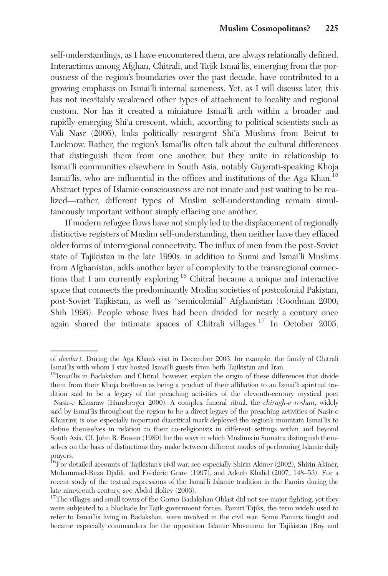self-understandings, as I have encountered them, are always relationally defined. Interactions among Afghan, Chitrali, and Tajik Ismai'lis, emerging from the porousness of the region's boundaries over the past decade, have contributed to a growing emphasis on Ismai'li internal sameness. Yet, as I will discuss later, this has not inevitably weakened other types of attachment to locality and regional custom. Nor has it created a miniature Ismai'li arch within a broader and rapidly emerging Shi'a crescent, which, according to political scientists such as Vali Nasr (2006), links politically resurgent Shi'a Muslims from Beirut to Lucknow. Rather, the region's Ismai'lis often talk about the cultural differences that distinguish them from one another, but they unite in relationship to Ismai'li communities elsewhere in South Asia, notably Gujerati-speaking Khoja Ismai'lis, who are influential in the offices and institutions of the Aga Khan.<sup>15</sup> Abstract types of Islamic consciousness are not innate and just waiting to be realized—rather, different types of Muslim self-understanding remain simultaneously important without simply effacing one another.

If modern refugee flows have not simply led to the displacement of regionally distinctive registers of Muslim self-understanding, then neither have they effaced older forms of interregional connectivity. The influx of men from the post-Soviet state of Tajikistan in the late 1990s, in addition to Sunni and Ismai'li Muslims from Afghanistan, adds another layer of complexity to the transregional connections that I am currently exploring.<sup>16</sup> Chitral became a unique and interactive space that connects the predominantly Muslim societies of postcolonial Pakistan, post-Soviet Tajikistan, as well as "semicolonial" Afghanistan (Goodman 2000; Shih 1996). People whose lives had been divided for nearly a century once again shared the intimate spaces of Chitrali villages.<sup>17</sup> In October 2005,

of deedar). During the Aga Khan's visit in December 2003, for example, the family of Chitrali Ismai'lis with whom I stay hosted Ismai'li guests from both Tajikistan and Iran. 15Ismai'lis in Badakshan and Chitral, however, explain the origin of these differences that divide

them from their Khoja brethren as being a product of their affiliation to an Ismai'li spiritual tradition said to be a legacy of the preaching activities of the eleventh-century mystical poet

Nasir-e Khusraw (Hunsberger 2000). A complex funeral ritual, the chiragh-e roshan, widely said by Ismai'lis throughout the region to be a direct legacy of the preaching activities of Nasir-e Khusraw, is one especially important diacritical mark deployed the region's mountain Ismai'lis to define themselves in relation to their co-religionists in different settings within and beyond South Asia. Cf. John R. Bowen (1989) for the ways in which Muslims in Sumatra distinguish themselves on the basis of distinctions they make between different modes of performing Islamic daily prayers.

<sup>16</sup>For detailed accounts of Tajikistan's civil war, see especially Shirin Akiner (2002), Shirin Akiner, Mohammad-Reza Djalili, and Frederic Grare (1997), and Adeeb Khalid (2007, 148–53). For a recent study of the textual expressions of the Ismai'li Islamic tradition in the Pamirs during the late nineteenth century, see Abdul Iloliev (2006).

<sup>&</sup>lt;sup>17</sup>The villages and small towns of the Gorno-Badakshan Oblast did not see major fighting, yet they were subjected to a blockade by Tajik government forces. Pamiri Tajiks, the term widely used to refer to Ismai'lis living in Badakshan, were involved in the civil war. Some Pamiris fought and became especially commanders for the opposition Islamic Movement for Tajikistan (Roy and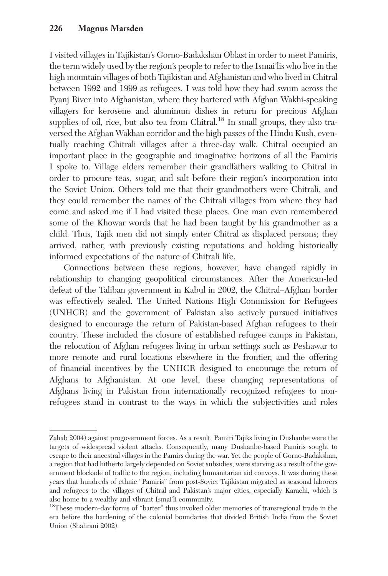I visited villages in Tajikistan's Gorno-Badakshan Oblast in order to meet Pamiris, the term widely used by the region's people to refer to the Ismai'lis who live in the high mountain villages of both Tajikistan and Afghanistan and who lived in Chitral between 1992 and 1999 as refugees. I was told how they had swum across the Pyanj River into Afghanistan, where they bartered with Afghan Wakhi-speaking villagers for kerosene and aluminum dishes in return for precious Afghan supplies of oil, rice, but also tea from Chitral. $^{18}$  In small groups, they also traversed the Afghan Wakhan corridor and the high passes of the Hindu Kush, eventually reaching Chitrali villages after a three-day walk. Chitral occupied an important place in the geographic and imaginative horizons of all the Pamiris I spoke to. Village elders remember their grandfathers walking to Chitral in order to procure teas, sugar, and salt before their region's incorporation into the Soviet Union. Others told me that their grandmothers were Chitrali, and they could remember the names of the Chitrali villages from where they had come and asked me if I had visited these places. One man even remembered some of the Khowar words that he had been taught by his grandmother as a child. Thus, Tajik men did not simply enter Chitral as displaced persons; they arrived, rather, with previously existing reputations and holding historically informed expectations of the nature of Chitrali life.

Connections between these regions, however, have changed rapidly in relationship to changing geopolitical circumstances. After the American-led defeat of the Taliban government in Kabul in 2002, the Chitral–Afghan border was effectively sealed. The United Nations High Commission for Refugees (UNHCR) and the government of Pakistan also actively pursued initiatives designed to encourage the return of Pakistan-based Afghan refugees to their country. These included the closure of established refugee camps in Pakistan, the relocation of Afghan refugees living in urban settings such as Peshawar to more remote and rural locations elsewhere in the frontier, and the offering of financial incentives by the UNHCR designed to encourage the return of Afghans to Afghanistan. At one level, these changing representations of Afghans living in Pakistan from internationally recognized refugees to nonrefugees stand in contrast to the ways in which the subjectivities and roles

Zahab 2004) against progovernment forces. As a result, Pamiri Tajiks living in Dushanbe were the targets of widespread violent attacks. Consequently, many Dushanbe-based Pamiris sought to escape to their ancestral villages in the Pamirs during the war. Yet the people of Gorno-Badakshan, a region that had hitherto largely depended on Soviet subsidies, were starving as a result of the government blockade of traffic to the region, including humanitarian aid convoys. It was during these years that hundreds of ethnic "Pamiris" from post-Soviet Tajikistan migrated as seasonal laborers and refugees to the villages of Chitral and Pakistan's major cities, especially Karachi, which is also home to a wealthy and vibrant Ismai'li community.<br><sup>18</sup>These modern-day forms of "barter" thus invoked older memories of transregional trade in the

era before the hardening of the colonial boundaries that divided British India from the Soviet Union (Shahrani 2002).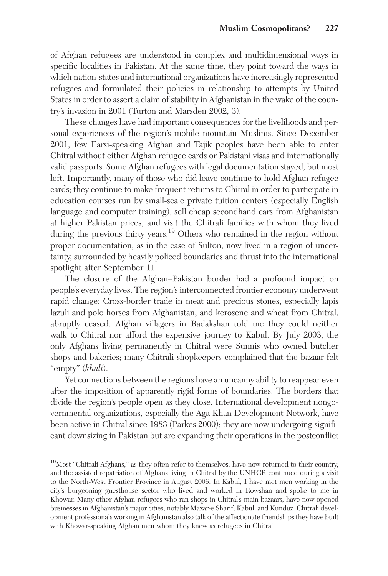of Afghan refugees are understood in complex and multidimensional ways in specific localities in Pakistan. At the same time, they point toward the ways in which nation-states and international organizations have increasingly represented refugees and formulated their policies in relationship to attempts by United States in order to assert a claim of stability in Afghanistan in the wake of the country's invasion in 2001 (Turton and Marsden 2002, 3).

These changes have had important consequences for the livelihoods and personal experiences of the region's mobile mountain Muslims. Since December 2001, few Farsi-speaking Afghan and Tajik peoples have been able to enter Chitral without either Afghan refugee cards or Pakistani visas and internationally valid passports. Some Afghan refugees with legal documentation stayed, but most left. Importantly, many of those who did leave continue to hold Afghan refugee cards; they continue to make frequent returns to Chitral in order to participate in education courses run by small-scale private tuition centers (especially English language and computer training), sell cheap secondhand cars from Afghanistan at higher Pakistan prices, and visit the Chitrali families with whom they lived during the previous thirty years.<sup>19</sup> Others who remained in the region without proper documentation, as in the case of Sulton, now lived in a region of uncertainty, surrounded by heavily policed boundaries and thrust into the international spotlight after September 11.

The closure of the Afghan–Pakistan border had a profound impact on people's everyday lives. The region's interconnected frontier economy underwent rapid change: Cross-border trade in meat and precious stones, especially lapis lazuli and polo horses from Afghanistan, and kerosene and wheat from Chitral, abruptly ceased. Afghan villagers in Badakshan told me they could neither walk to Chitral nor afford the expensive journey to Kabul. By July 2003, the only Afghans living permanently in Chitral were Sunnis who owned butcher shops and bakeries; many Chitrali shopkeepers complained that the bazaar felt "empty" (khali).

Yet connections between the regions have an uncanny ability to reappear even after the imposition of apparently rigid forms of boundaries: The borders that divide the region's people open as they close. International development nongovernmental organizations, especially the Aga Khan Development Network, have been active in Chitral since 1983 (Parkes 2000); they are now undergoing significant downsizing in Pakistan but are expanding their operations in the postconflict

<sup>&</sup>lt;sup>19</sup>Most "Chitrali Afghans," as they often refer to themselves, have now returned to their country, and the assisted repatriation of Afghans living in Chitral by the UNHCR continued during a visit to the North-West Frontier Province in August 2006. In Kabul, I have met men working in the city's burgeoning guesthouse sector who lived and worked in Rowshan and spoke to me in Khowar. Many other Afghan refugees who ran shops in Chitral's main bazaars, have now opened businesses in Afghanistan's major cities, notably Mazar-e Sharif, Kabul, and Kunduz. Chitrali development professionals working in Afghanistan also talk of the affectionate friendships they have built with Khowar-speaking Afghan men whom they knew as refugees in Chitral.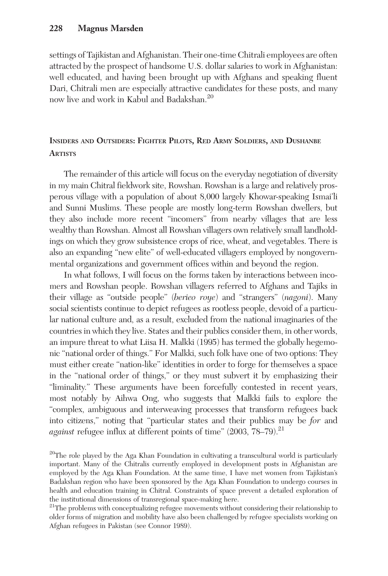settings of Tajikistan and Afghanistan. Their one-time Chitrali employees are often attracted by the prospect of handsome U.S. dollar salaries to work in Afghanistan: well educated, and having been brought up with Afghans and speaking fluent Dari, Chitrali men are especially attractive candidates for these posts, and many now live and work in Kabul and Badakshan.<sup>20</sup>

## INSIDERS AND OUTSIDERS: FIGHTER PILOTS, RED ARMY SOLDIERS, AND DUSHANBE **ARTISTS**

The remainder of this article will focus on the everyday negotiation of diversity in my main Chitral fieldwork site, Rowshan. Rowshan is a large and relatively prosperous village with a population of about 8,000 largely Khowar-speaking Ismai'li and Sunni Muslims. These people are mostly long-term Rowshan dwellers, but they also include more recent "incomers" from nearby villages that are less wealthy than Rowshan. Almost all Rowshan villagers own relatively small landholdings on which they grow subsistence crops of rice, wheat, and vegetables. There is also an expanding "new elite" of well-educated villagers employed by nongovernmental organizations and government offices within and beyond the region.

In what follows, I will focus on the forms taken by interactions between incomers and Rowshan people. Rowshan villagers referred to Afghans and Tajiks in their village as "outside people" (berieo roye) and "strangers" (nagoni). Many social scientists continue to depict refugees as rootless people, devoid of a particular national culture and, as a result, excluded from the national imaginaries of the countries in which they live. States and their publics consider them, in other words, an impure threat to what Liisa H. Malkki (1995) has termed the globally hegemonic "national order of things." For Malkki, such folk have one of two options: They must either create "nation-like" identities in order to forge for themselves a space in the "national order of things," or they must subvert it by emphasizing their "liminality." These arguments have been forcefully contested in recent years, most notably by Aihwa Ong, who suggests that Malkki fails to explore the "complex, ambiguous and interweaving processes that transform refugees back into citizens," noting that "particular states and their publics may be for and *against* refugee influx at different points of time"  $(2003, 78-79).$ <sup>21</sup>

<sup>&</sup>lt;sup>20</sup>The role played by the Aga Khan Foundation in cultivating a transcultural world is particularly important. Many of the Chitralis currently employed in development posts in Afghanistan are employed by the Aga Khan Foundation. At the same time, I have met women from Tajikistan's Badakshan region who have been sponsored by the Aga Khan Foundation to undergo courses in health and education training in Chitral. Constraints of space prevent a detailed exploration of the institutional dimensions of transregional space-making here.

<sup>&</sup>lt;sup>21</sup>The problems with conceptualizing refugee movements without considering their relationship to older forms of migration and mobility have also been challenged by refugee specialists working on Afghan refugees in Pakistan (see Connor 1989).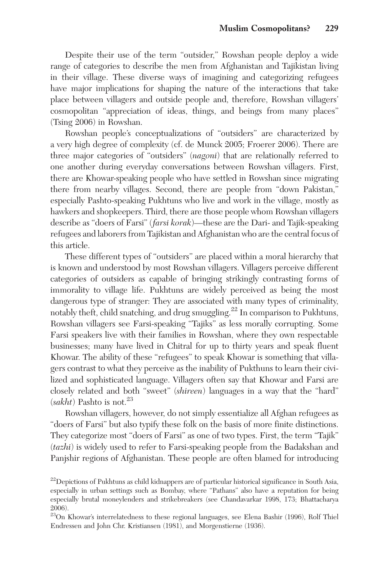Despite their use of the term "outsider," Rowshan people deploy a wide range of categories to describe the men from Afghanistan and Tajikistan living in their village. These diverse ways of imagining and categorizing refugees have major implications for shaping the nature of the interactions that take place between villagers and outside people and, therefore, Rowshan villagers' cosmopolitan "appreciation of ideas, things, and beings from many places" (Tsing 2006) in Rowshan.

Rowshan people's conceptualizations of "outsiders" are characterized by a very high degree of complexity (cf. de Munck 2005; Froerer 2006). There are three major categories of "outsiders" (nagoni) that are relationally referred to one another during everyday conversations between Rowshan villagers. First, there are Khowar-speaking people who have settled in Rowshan since migrating there from nearby villages. Second, there are people from "down Pakistan," especially Pashto-speaking Pukhtuns who live and work in the village, mostly as hawkers and shopkeepers. Third, there are those people whom Rowshan villagers describe as "doers of Farsi" (farsi korak)—these are the Dari- and Tajik-speaking refugees and laborers from Tajikistan and Afghanistan who are the central focus of this article.

These different types of "outsiders" are placed within a moral hierarchy that is known and understood by most Rowshan villagers. Villagers perceive different categories of outsiders as capable of bringing strikingly contrasting forms of immorality to village life. Pukhtuns are widely perceived as being the most dangerous type of stranger: They are associated with many types of criminality, notably theft, child snatching, and drug smuggling.<sup>22</sup> In comparison to Pukhtuns, Rowshan villagers see Farsi-speaking "Tajiks" as less morally corrupting. Some Farsi speakers live with their families in Rowshan, where they own respectable businesses; many have lived in Chitral for up to thirty years and speak fluent Khowar. The ability of these "refugees" to speak Khowar is something that villagers contrast to what they perceive as the inability of Pukthuns to learn their civilized and sophisticated language. Villagers often say that Khowar and Farsi are closely related and both "sweet" (shireen) languages in a way that the "hard"  $(sakht)$  Pashto is not.<sup>23</sup>

Rowshan villagers, however, do not simply essentialize all Afghan refugees as "doers of Farsi" but also typify these folk on the basis of more finite distinctions. They categorize most "doers of Farsi" as one of two types. First, the term "Tajik" (tazhi) is widely used to refer to Farsi-speaking people from the Badakshan and Panjshir regions of Afghanistan. These people are often blamed for introducing

 $22$ Depictions of Pukhtuns as child kidnappers are of particular historical significance in South Asia, especially in urban settings such as Bombay, where "Pathans" also have a reputation for being especially brutal moneylenders and strikebreakers (see Chandavarkar 1998, 173; Bhattacharya 2006).

 $^{23}\mathrm{On}$ Khowar's interrelatedness to these regional languages, see Elena Bashir (1996), Rolf Thiel Endressen and John Chr. Kristiansen (1981), and Morgenstierne (1936).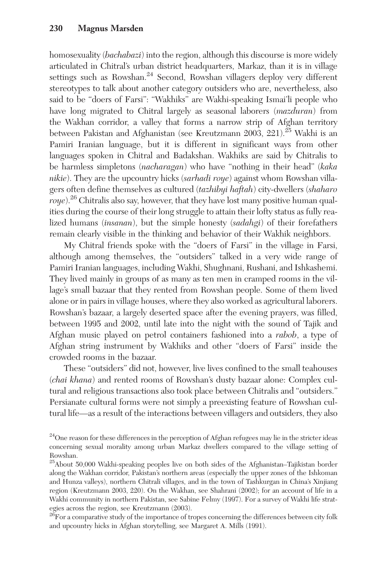homosexuality (*bachabazi*) into the region, although this discourse is more widely articulated in Chitral's urban district headquarters, Markaz, than it is in village settings such as Rowshan.<sup>24</sup> Second, Rowshan villagers deploy very different stereotypes to talk about another category outsiders who are, nevertheless, also said to be "doers of Farsi": "Wakhiks" are Wakhi-speaking Ismai'li people who have long migrated to Chitral largely as seasonal laborers (*mazduran*) from the Wakhan corridor, a valley that forms a narrow strip of Afghan territory between Pakistan and Afghanistan (see Kreutzmann 2003, 221).<sup>25</sup> Wakhi is an Pamiri Iranian language, but it is different in significant ways from other languages spoken in Chitral and Badakshan. Wakhiks are said by Chitralis to be harmless simpletons *(nacharagan)* who have "nothing in their head" *(kaka*) nikie). They are the upcountry hicks (*sarhadi roye*) against whom Rowshan villagers often define themselves as cultured (tazhibyi haftah) city-dwellers (shaharo  $roye$ <sup>26</sup> Chitralis also say, however, that they have lost many positive human qualities during the course of their long struggle to attain their lofty status as fully realized humans *(insanan)*, but the simple honesty *(sadahgi)* of their forefathers remain clearly visible in the thinking and behavior of their Wakhik neighbors.

My Chitral friends spoke with the "doers of Farsi" in the village in Farsi, although among themselves, the "outsiders" talked in a very wide range of Pamiri Iranian languages, including Wakhi, Shughnani, Rushani, and Ishkashemi. They lived mainly in groups of as many as ten men in cramped rooms in the village's small bazaar that they rented from Rowshan people. Some of them lived alone or in pairs in village houses, where they also worked as agricultural laborers. Rowshan's bazaar, a largely deserted space after the evening prayers, was filled, between 1995 and 2002, until late into the night with the sound of Tajik and Afghan music played on petrol containers fashioned into a rabob, a type of Afghan string instrument by Wakhiks and other "doers of Farsi" inside the crowded rooms in the bazaar.

These "outsiders" did not, however, live lives confined to the small teahouses (chai khana) and rented rooms of Rowshan's dusty bazaar alone: Complex cultural and religious transactions also took place between Chitralis and "outsiders." Persianate cultural forms were not simply a preexisting feature of Rowshan cultural life—as a result of the interactions between villagers and outsiders, they also

<sup>&</sup>lt;sup>24</sup>One reason for these differences in the perception of Afghan refugees may lie in the stricter ideas concerning sexual morality among urban Markaz dwellers compared to the village setting of Rowshan.

 $^{25}\!$  About 50,000 Wakhi-speaking peoples live on both sides of the Afghanistan–Tajikistan border along the Wakhan corridor, Pakistan's northern areas (especially the upper zones of the Ishkoman and Hunza valleys), northern Chitrali villages, and in the town of Tashkurgan in China's Xinjiang region (Kreutzmann 2003, 220). On the Wakhan, see Shahrani (2002); for an account of life in a Wakhi community in northern Pakistan, see Sabine Felmy (1997). For a survey of Wakhi life strategies across the region, see Kreutzmann (2003).

<sup>&</sup>lt;sup>26</sup>For a comparative study of the importance of tropes concerning the differences between city folk and upcountry hicks in Afghan storytelling, see Margaret A. Mills (1991).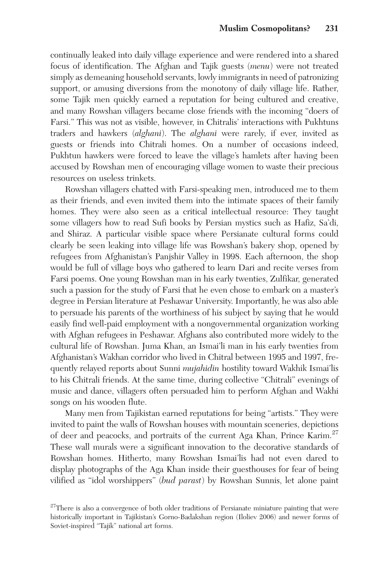continually leaked into daily village experience and were rendered into a shared focus of identification. The Afghan and Tajik guests (menu) were not treated simply as demeaning household servants, lowly immigrants in need of patronizing support, or amusing diversions from the monotony of daily village life. Rather, some Tajik men quickly earned a reputation for being cultured and creative, and many Rowshan villagers became close friends with the incoming "doers of Farsi." This was not as visible, however, in Chitralis' interactions with Pukhtuns traders and hawkers (alghani). The alghani were rarely, if ever, invited as guests or friends into Chitrali homes. On a number of occasions indeed, Pukhtun hawkers were forced to leave the village's hamlets after having been accused by Rowshan men of encouraging village women to waste their precious resources on useless trinkets.

Rowshan villagers chatted with Farsi-speaking men, introduced me to them as their friends, and even invited them into the intimate spaces of their family homes. They were also seen as a critical intellectual resource: They taught some villagers how to read Sufi books by Persian mystics such as Hafiz, Sa'di, and Shiraz. A particular visible space where Persianate cultural forms could clearly be seen leaking into village life was Rowshan's bakery shop, opened by refugees from Afghanistan's Panjshir Valley in 1998. Each afternoon, the shop would be full of village boys who gathered to learn Dari and recite verses from Farsi poems. One young Rowshan man in his early twenties, Zulfikar, generated such a passion for the study of Farsi that he even chose to embark on a master's degree in Persian literature at Peshawar University. Importantly, he was also able to persuade his parents of the worthiness of his subject by saying that he would easily find well-paid employment with a nongovernmental organization working with Afghan refugees in Peshawar. Afghans also contributed more widely to the cultural life of Rowshan. Juma Khan, an Ismai'li man in his early twenties from Afghanistan's Wakhan corridor who lived in Chitral between 1995 and 1997, frequently relayed reports about Sunni mujahidin hostility toward Wakhik Ismai'lis to his Chitrali friends. At the same time, during collective "Chitrali" evenings of music and dance, villagers often persuaded him to perform Afghan and Wakhi songs on his wooden flute.

Many men from Tajikistan earned reputations for being "artists." They were invited to paint the walls of Rowshan houses with mountain sceneries, depictions of deer and peacocks, and portraits of the current Aga Khan, Prince Karim.<sup>27</sup> These wall murals were a significant innovation to the decorative standards of Rowshan homes. Hitherto, many Rowshan Ismai'lis had not even dared to display photographs of the Aga Khan inside their guesthouses for fear of being vilified as "idol worshippers" (bud parast) by Rowshan Sunnis, let alone paint

<sup>&</sup>lt;sup>27</sup>There is also a convergence of both older traditions of Persianate miniature painting that were historically important in Tajikistan's Gorno-Badakshan region (Iloliev 2006) and newer forms of Soviet-inspired "Tajik" national art forms.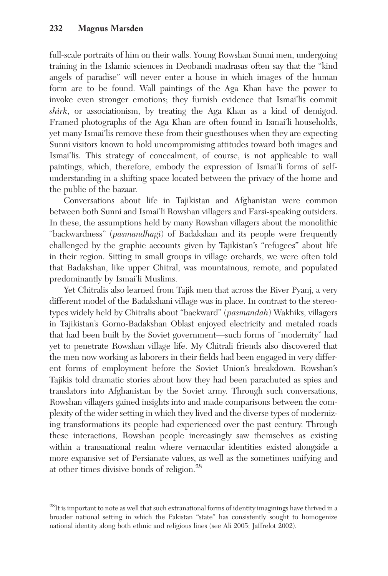full-scale portraits of him on their walls. Young Rowshan Sunni men, undergoing training in the Islamic sciences in Deobandi madrasas often say that the "kind angels of paradise" will never enter a house in which images of the human form are to be found. Wall paintings of the Aga Khan have the power to invoke even stronger emotions; they furnish evidence that Ismai'lis commit shirk, or associationism, by treating the Aga Khan as a kind of demigod. Framed photographs of the Aga Khan are often found in Ismai'li households, yet many Ismai'lis remove these from their guesthouses when they are expecting Sunni visitors known to hold uncompromising attitudes toward both images and Ismai'lis. This strategy of concealment, of course, is not applicable to wall paintings, which, therefore, embody the expression of Ismai'li forms of selfunderstanding in a shifting space located between the privacy of the home and the public of the bazaar.

Conversations about life in Tajikistan and Afghanistan were common between both Sunni and Ismai'li Rowshan villagers and Farsi-speaking outsiders. In these, the assumptions held by many Rowshan villagers about the monolithic "backwardness" (pasmandhagi) of Badakshan and its people were frequently challenged by the graphic accounts given by Tajikistan's "refugees" about life in their region. Sitting in small groups in village orchards, we were often told that Badakshan, like upper Chitral, was mountainous, remote, and populated predominantly by Ismai'li Muslims.

Yet Chitralis also learned from Tajik men that across the River Pyanj, a very different model of the Badakshani village was in place. In contrast to the stereotypes widely held by Chitralis about "backward" (pasmandah) Wakhiks, villagers in Tajikistan's Gorno-Badakshan Oblast enjoyed electricity and metaled roads that had been built by the Soviet government—such forms of "modernity" had yet to penetrate Rowshan village life. My Chitrali friends also discovered that the men now working as laborers in their fields had been engaged in very different forms of employment before the Soviet Union's breakdown. Rowshan's Tajikis told dramatic stories about how they had been parachuted as spies and translators into Afghanistan by the Soviet army. Through such conversations, Rowshan villagers gained insights into and made comparisons between the complexity of the wider setting in which they lived and the diverse types of modernizing transformations its people had experienced over the past century. Through these interactions, Rowshan people increasingly saw themselves as existing within a transnational realm where vernacular identities existed alongside a more expansive set of Persianate values, as well as the sometimes unifying and at other times divisive bonds of religion.<sup>28</sup>

<sup>&</sup>lt;sup>28</sup>It is important to note as well that such extranational forms of identity imaginings have thrived in a broader national setting in which the Pakistan "state" has consistently sought to homogenize national identity along both ethnic and religious lines (see Ali 2005; Jaffrelot 2002).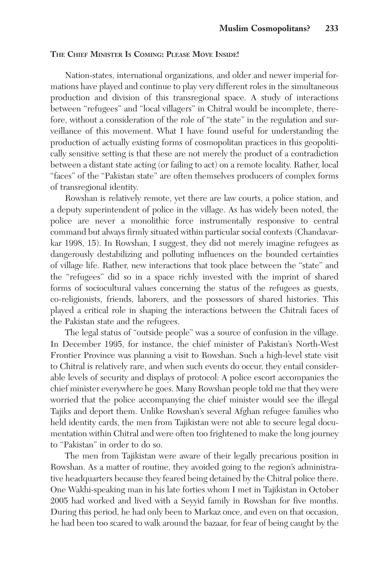#### THE CHIEF MINISTER IS COMING: PLEASE MOVE INSIDE!

Nation-states, international organizations, and older and newer imperial formations have played and continue to play very different roles in the simultaneous production and division of this transregional space. A study of interactions between "refugees" and "local villagers" in Chitral would be incomplete, therefore, without a consideration of the role of "the state" in the regulation and surveillance of this movement. What I have found useful for understanding the production of actually existing forms of cosmopolitan practices in this geopolitically sensitive setting is that these are not merely the product of a contradiction between a distant state acting (or failing to act) on a remote locality. Rather, local "faces" of the "Pakistan state" are often themselves producers of complex forms of transregional identity.

Rowshan is relatively remote, yet there are law courts, a police station, and a deputy superintendent of police in the village. As has widely been noted, the police are never a monolithic force instrumentally responsive to central command but always firmly situated within particular social contexts (Chandavarkar 1998, 15). In Rowshan, I suggest, they did not merely imagine refugees as dangerously destabilizing and polluting influences on the bounded certainties of village life. Rather, new interactions that took place between the "state" and the "refugees" did so in a space richly invested with the imprint of shared forms of sociocultural values concerning the status of the refugees as guests, co-religionists, friends, laborers, and the possessors of shared histories. This played a critical role in shaping the interactions between the Chitrali faces of the Pakistan state and the refugees.

The legal status of "outside people" was a source of confusion in the village. In December 1995, for instance, the chief minister of Pakistan's North-West Frontier Province was planning a visit to Rowshan. Such a high-level state visit to Chitral is relatively rare, and when such events do occur, they entail considerable levels of security and displays of protocol: A police escort accompanies the chief minister everywhere he goes. Many Rowshan people told me that they were worried that the police accompanying the chief minister would see the illegal Tajiks and deport them. Unlike Rowshan's several Afghan refugee families who held identity cards, the men from Tajikistan were not able to secure legal documentation within Chitral and were often too frightened to make the long journey to "Pakistan" in order to do so.

The men from Tajikistan were aware of their legally precarious position in Rowshan. As a matter of routine, they avoided going to the region's administrative headquarters because they feared being detained by the Chitral police there. One Wakhi-speaking man in his late forties whom I met in Tajikistan in October 2005 had worked and lived with a Seyyid family in Rowshan for five months. During this period, he had only been to Markaz once, and even on that occasion, he had been too scared to walk around the bazaar, for fear of being caught by the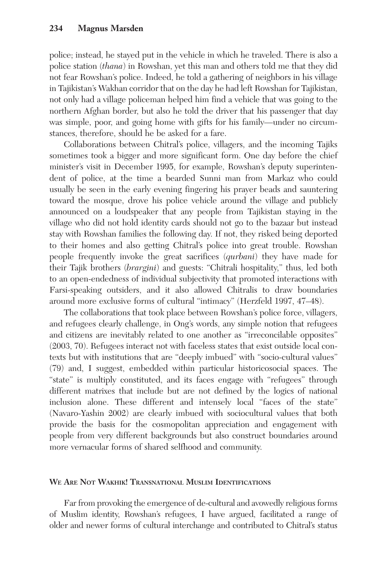police; instead, he stayed put in the vehicle in which he traveled. There is also a police station (thana) in Rowshan, yet this man and others told me that they did not fear Rowshan's police. Indeed, he told a gathering of neighbors in his village in Tajikistan's Wakhan corridor that on the day he had left Rowshan for Tajikistan, not only had a village policeman helped him find a vehicle that was going to the northern Afghan border, but also he told the driver that his passenger that day was simple, poor, and going home with gifts for his family—under no circumstances, therefore, should he be asked for a fare.

Collaborations between Chitral's police, villagers, and the incoming Tajiks sometimes took a bigger and more significant form. One day before the chief minister's visit in December 1995, for example, Rowshan's deputy superintendent of police, at the time a bearded Sunni man from Markaz who could usually be seen in the early evening fingering his prayer beads and sauntering toward the mosque, drove his police vehicle around the village and publicly announced on a loudspeaker that any people from Tajikistan staying in the village who did not hold identity cards should not go to the bazaar but instead stay with Rowshan families the following day. If not, they risked being deported to their homes and also getting Chitral's police into great trouble. Rowshan people frequently invoke the great sacrifices (qurbani) they have made for their Tajik brothers (brargini) and guests: "Chitrali hospitality," thus, led both to an open-endedness of individual subjectivity that promoted interactions with Farsi-speaking outsiders, and it also allowed Chitralis to draw boundaries around more exclusive forms of cultural "intimacy" (Herzfeld 1997, 47–48).

The collaborations that took place between Rowshan's police force, villagers, and refugees clearly challenge, in Ong's words, any simple notion that refugees and citizens are inevitably related to one another as "irreconcilable opposites" (2003, 70). Refugees interact not with faceless states that exist outside local contexts but with institutions that are "deeply imbued" with "socio-cultural values" (79) and, I suggest, embedded within particular historicosocial spaces. The "state" is multiply constituted, and its faces engage with "refugees" through different matrixes that include but are not defined by the logics of national inclusion alone. These different and intensely local "faces of the state" (Navaro-Yashin 2002) are clearly imbued with sociocultural values that both provide the basis for the cosmopolitan appreciation and engagement with people from very different backgrounds but also construct boundaries around more vernacular forms of shared selfhood and community.

### WE ARE NOT WAKHIK! TRANSNATIONAL MUSLIM IDENTIFICATIONS

Far from provoking the emergence of de-cultural and avowedly religious forms of Muslim identity, Rowshan's refugees, I have argued, facilitated a range of older and newer forms of cultural interchange and contributed to Chitral's status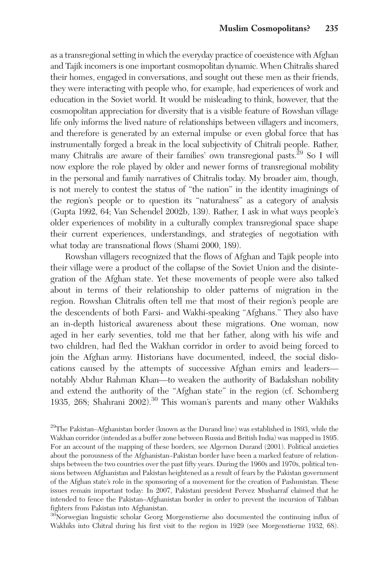as a transregional setting in which the everyday practice of coexistence with Afghan and Tajik incomers is one important cosmopolitan dynamic. When Chitralis shared their homes, engaged in conversations, and sought out these men as their friends, they were interacting with people who, for example, had experiences of work and education in the Soviet world. It would be misleading to think, however, that the cosmopolitan appreciation for diversity that is a visible feature of Rowshan village life only informs the lived nature of relationships between villagers and incomers, and therefore is generated by an external impulse or even global force that has instrumentally forged a break in the local subjectivity of Chitrali people. Rather, many Chitralis are aware of their families' own transregional pasts.29 So I will now explore the role played by older and newer forms of transregional mobility in the personal and family narratives of Chitralis today. My broader aim, though, is not merely to contest the status of "the nation" in the identity imaginings of the region's people or to question its "naturalness" as a category of analysis (Gupta 1992, 64; Van Schendel 2002b, 139). Rather, I ask in what ways people's older experiences of mobility in a culturally complex transregional space shape their current experiences, understandings, and strategies of negotiation with what today are transnational flows (Shami 2000, 189).

Rowshan villagers recognized that the flows of Afghan and Tajik people into their village were a product of the collapse of the Soviet Union and the disintegration of the Afghan state. Yet these movements of people were also talked about in terms of their relationship to older patterns of migration in the region. Rowshan Chitralis often tell me that most of their region's people are the descendents of both Farsi- and Wakhi-speaking "Afghans." They also have an in-depth historical awareness about these migrations. One woman, now aged in her early seventies, told me that her father, along with his wife and two children, had fled the Wakhan corridor in order to avoid being forced to join the Afghan army. Historians have documented, indeed, the social dislocations caused by the attempts of successive Afghan emirs and leaders notably Abdur Rahman Khan—to weaken the authority of Badakshan nobility and extend the authority of the "Afghan state" in the region (cf. Schomberg 1935, 268; Shahrani 2002).<sup>30</sup> This woman's parents and many other Wakhiks

 $29$ The Pakistan–Afghanistan border (known as the Durand line) was established in 1893, while the Wakhan corridor (intended as a buffer zone between Russia and British India) was mapped in 1895. For an account of the mapping of these borders, see Algernon Durand (2001). Political anxieties about the porousness of the Afghanistan–Pakistan border have been a marked feature of relationships between the two countries over the past fifty years. During the 1960s and 1970s, political tensions between Afghanistan and Pakistan heightened as a result of fears by the Pakistan government of the Afghan state's role in the sponsoring of a movement for the creation of Pashunistan. These issues remain important today: In 2007, Pakistani president Pervez Musharraf claimed that he intended to fence the Pakistan–Afghanistan border in order to prevent the incursion of Taliban fighters from Pakistan into Afghanistan.

<sup>30</sup>Norwegian linguistic scholar Georg Morgenstierne also documented the continuing influx of Wakhiks into Chitral during his first visit to the region in 1929 (see Morgenstierne 1932, 68).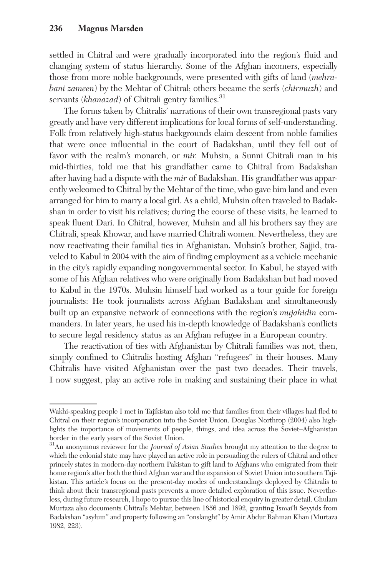settled in Chitral and were gradually incorporated into the region's fluid and changing system of status hierarchy. Some of the Afghan incomers, especially those from more noble backgrounds, were presented with gifts of land (mehrabani zameen) by the Mehtar of Chitral; others became the serfs (chirmuzh) and servants (khanazad) of Chitrali gentry families. $31$ 

The forms taken by Chitralis' narrations of their own transregional pasts vary greatly and have very different implications for local forms of self-understanding. Folk from relatively high-status backgrounds claim descent from noble families that were once influential in the court of Badakshan, until they fell out of favor with the realm's monarch, or mir. Muhsin, a Sunni Chitrali man in his mid-thirties, told me that his grandfather came to Chitral from Badakshan after having had a dispute with the *mir* of Badakshan. His grandfather was apparently welcomed to Chitral by the Mehtar of the time, who gave him land and even arranged for him to marry a local girl. As a child, Muhsin often traveled to Badakshan in order to visit his relatives; during the course of these visits, he learned to speak fluent Dari. In Chitral, however, Muhsin and all his brothers say they are Chitrali, speak Khowar, and have married Chitrali women. Nevertheless, they are now reactivating their familial ties in Afghanistan. Muhsin's brother, Sajjid, traveled to Kabul in 2004 with the aim of finding employment as a vehicle mechanic in the city's rapidly expanding nongovernmental sector. In Kabul, he stayed with some of his Afghan relatives who were originally from Badakshan but had moved to Kabul in the 1970s. Muhsin himself had worked as a tour guide for foreign journalists: He took journalists across Afghan Badakshan and simultaneously built up an expansive network of connections with the region's *mujahidin* commanders. In later years, he used his in-depth knowledge of Badakshan's conflicts to secure legal residency status as an Afghan refugee in a European country.

The reactivation of ties with Afghanistan by Chitrali families was not, then, simply confined to Chitralis hosting Afghan "refugees" in their houses. Many Chitralis have visited Afghanistan over the past two decades. Their travels, I now suggest, play an active role in making and sustaining their place in what

Wakhi-speaking people I met in Tajikistan also told me that families from their villages had fled to Chitral on their region's incorporation into the Soviet Union. Douglas Northrop (2004) also highlights the importance of movements of people, things, and idea across the Soviet–Afghanistan border in the early years of the Soviet Union.

 $31$ An anonymous reviewer for the *Journal of Asian Studies* brought my attention to the degree to which the colonial state may have played an active role in persuading the rulers of Chitral and other princely states in modern-day northern Pakistan to gift land to Afghans who emigrated from their home region's after both the third Afghan war and the expansion of Soviet Union into southern Tajikistan. This article's focus on the present-day modes of understandings deployed by Chitralis to think about their transregional pasts prevents a more detailed exploration of this issue. Nevertheless, during future research, I hope to pursue this line of historical enquiry in greater detail. Ghulam Murtaza also documents Chitral's Mehtar, between 1856 and 1892, granting Ismai'li Seyyids from Badakshan "asylum" and property following an "onslaught" by Amir Abdur Rahman Khan (Murtaza 1982, 223).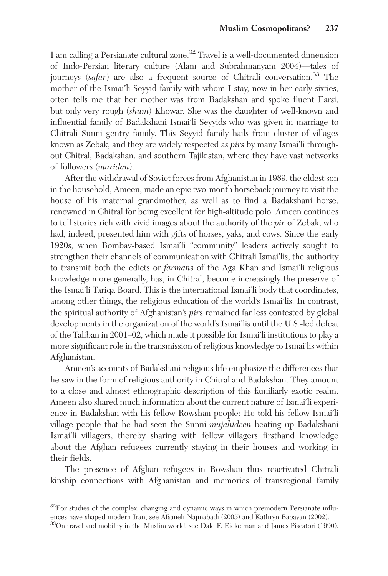I am calling a Persianate cultural zone.<sup>32</sup> Travel is a well-documented dimension of Indo-Persian literary culture (Alam and Subrahmanyam 2004)—tales of journeys (safar) are also a frequent source of Chitrali conversation.<sup>33</sup> The mother of the Ismai'li Seyyid family with whom I stay, now in her early sixties, often tells me that her mother was from Badakshan and spoke fluent Farsi, but only very rough (shum) Khowar. She was the daughter of well-known and influential family of Badakshani Ismai'li Seyyids who was given in marriage to Chitrali Sunni gentry family. This Seyyid family hails from cluster of villages known as Zebak, and they are widely respected as pirs by many Ismai'li throughout Chitral, Badakshan, and southern Tajikistan, where they have vast networks of followers (muridan).

After the withdrawal of Soviet forces from Afghanistan in 1989, the eldest son in the household, Ameen, made an epic two-month horseback journey to visit the house of his maternal grandmother, as well as to find a Badakshani horse, renowned in Chitral for being excellent for high-altitude polo. Ameen continues to tell stories rich with vivid images about the authority of the *pir* of Zebak, who had, indeed, presented him with gifts of horses, yaks, and cows. Since the early 1920s, when Bombay-based Ismai'li "community" leaders actively sought to strengthen their channels of communication with Chitrali Ismai'lis, the authority to transmit both the edicts or farmans of the Aga Khan and Ismai'li religious knowledge more generally, has, in Chitral, become increasingly the preserve of the Ismai'li Tariqa Board. This is the international Ismai'li body that coordinates, among other things, the religious education of the world's Ismai'lis. In contrast, the spiritual authority of Afghanistan's pirs remained far less contested by global developments in the organization of the world's Ismai'lis until the U.S.-led defeat of the Taliban in 2001–02, which made it possible for Ismai'li institutions to play a more significant role in the transmission of religious knowledge to Ismai'lis within Afghanistan.

Ameen's accounts of Badakshani religious life emphasize the differences that he saw in the form of religious authority in Chitral and Badakshan. They amount to a close and almost ethnographic description of this familiarly exotic realm. Ameen also shared much information about the current nature of Ismai'li experience in Badakshan with his fellow Rowshan people: He told his fellow Ismai'li village people that he had seen the Sunni mujahideen beating up Badakshani Ismai'li villagers, thereby sharing with fellow villagers firsthand knowledge about the Afghan refugees currently staying in their houses and working in their fields.

The presence of Afghan refugees in Rowshan thus reactivated Chitrali kinship connections with Afghanistan and memories of transregional family

<sup>&</sup>lt;sup>32</sup>For studies of the complex, changing and dynamic ways in which premodern Persianate influences have shaped modern Iran, see Afsaneh Najmabadi (2005) and Kathryn Babayan (2002).

<sup>&</sup>lt;sup>33</sup>On travel and mobility in the Muslim world, see Dale F. Eickelman and James Piscatori (1990).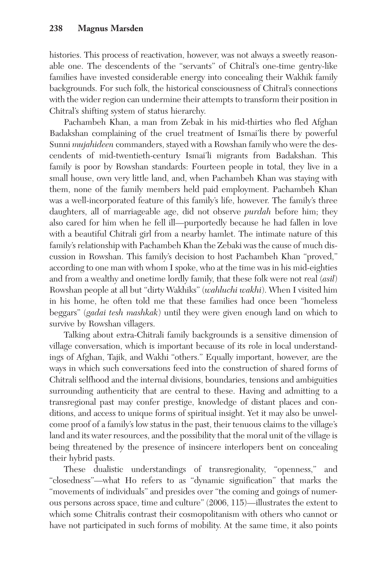histories. This process of reactivation, however, was not always a sweetly reasonable one. The descendents of the "servants" of Chitral's one-time gentry-like families have invested considerable energy into concealing their Wakhik family backgrounds. For such folk, the historical consciousness of Chitral's connections with the wider region can undermine their attempts to transform their position in Chitral's shifting system of status hierarchy.

Pachambeh Khan, a man from Zebak in his mid-thirties who fled Afghan Badakshan complaining of the cruel treatment of Ismai'lis there by powerful Sunni mujahideen commanders, stayed with a Rowshan family who were the descendents of mid-twentieth-century Ismai'li migrants from Badakshan. This family is poor by Rowshan standards: Fourteen people in total, they live in a small house, own very little land, and, when Pachambeh Khan was staying with them, none of the family members held paid employment. Pachambeh Khan was a well-incorporated feature of this family's life, however. The family's three daughters, all of marriageable age, did not observe *purdah* before him; they also cared for him when he fell ill—purportedly because he had fallen in love with a beautiful Chitrali girl from a nearby hamlet. The intimate nature of this family's relationship with Pachambeh Khan the Zebaki was the cause of much discussion in Rowshan. This family's decision to host Pachambeh Khan "proved," according to one man with whom I spoke, who at the time was in his mid-eighties and from a wealthy and onetime lordly family, that these folk were not real (asil) Rowshan people at all but "dirty Wakhiks" (wahluchi wakhi). When I visited him in his home, he often told me that these families had once been "homeless beggars" (gadai tesh mashkak) until they were given enough land on which to survive by Rowshan villagers.

Talking about extra-Chitrali family backgrounds is a sensitive dimension of village conversation, which is important because of its role in local understandings of Afghan, Tajik, and Wakhi "others." Equally important, however, are the ways in which such conversations feed into the construction of shared forms of Chitrali selfhood and the internal divisions, boundaries, tensions and ambiguities surrounding authenticity that are central to these. Having and admitting to a transregional past may confer prestige, knowledge of distant places and conditions, and access to unique forms of spiritual insight. Yet it may also be unwelcome proof of a family's low status in the past, their tenuous claims to the village's land and its water resources, and the possibility that the moral unit of the village is being threatened by the presence of insincere interlopers bent on concealing their hybrid pasts.

These dualistic understandings of transregionality, "openness," and "closedness"—what Ho refers to as "dynamic signification" that marks the "movements of individuals" and presides over "the coming and goings of numerous persons across space, time and culture" (2006, 115)—illustrates the extent to which some Chitralis contrast their cosmopolitanism with others who cannot or have not participated in such forms of mobility. At the same time, it also points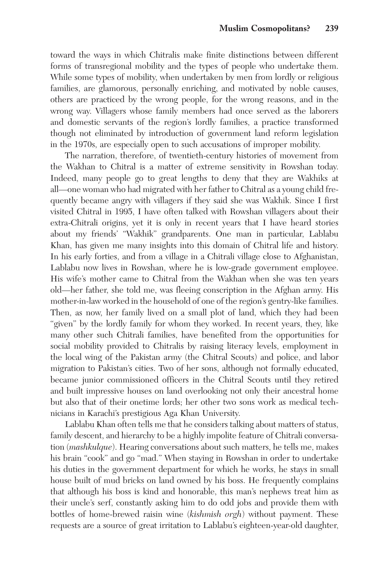toward the ways in which Chitralis make finite distinctions between different forms of transregional mobility and the types of people who undertake them. While some types of mobility, when undertaken by men from lordly or religious families, are glamorous, personally enriching, and motivated by noble causes, others are practiced by the wrong people, for the wrong reasons, and in the wrong way. Villagers whose family members had once served as the laborers and domestic servants of the region's lordly families, a practice transformed though not eliminated by introduction of government land reform legislation in the 1970s, are especially open to such accusations of improper mobility.

The narration, therefore, of twentieth-century histories of movement from the Wakhan to Chitral is a matter of extreme sensitivity in Rowshan today. Indeed, many people go to great lengths to deny that they are Wakhiks at all—one woman who had migrated with her father to Chitral as a young child frequently became angry with villagers if they said she was Wakhik. Since I first visited Chitral in 1995, I have often talked with Rowshan villagers about their extra-Chitrali origins, yet it is only in recent years that I have heard stories about my friends' "Wakhik" grandparents. One man in particular, Lablabu Khan, has given me many insights into this domain of Chitral life and history. In his early forties, and from a village in a Chitrali village close to Afghanistan, Lablabu now lives in Rowshan, where he is low-grade government employee. His wife's mother came to Chitral from the Wakhan when she was ten years old—her father, she told me, was fleeing conscription in the Afghan army. His mother-in-law worked in the household of one of the region's gentry-like families. Then, as now, her family lived on a small plot of land, which they had been "given" by the lordly family for whom they worked. In recent years, they, like many other such Chitrali families, have benefited from the opportunities for social mobility provided to Chitralis by raising literacy levels, employment in the local wing of the Pakistan army (the Chitral Scouts) and police, and labor migration to Pakistan's cities. Two of her sons, although not formally educated, became junior commissioned officers in the Chitral Scouts until they retired and built impressive houses on land overlooking not only their ancestral home but also that of their onetime lords; her other two sons work as medical technicians in Karachi's prestigious Aga Khan University.

Lablabu Khan often tells me that he considers talking about matters of status, family descent, and hierarchy to be a highly impolite feature of Chitrali conversation (mashkulque). Hearing conversations about such matters, he tells me, makes his brain "cook" and go "mad." When staying in Rowshan in order to undertake his duties in the government department for which he works, he stays in small house built of mud bricks on land owned by his boss. He frequently complains that although his boss is kind and honorable, this man's nephews treat him as their uncle's serf, constantly asking him to do odd jobs and provide them with bottles of home-brewed raisin wine (kishmish orgh) without payment. These requests are a source of great irritation to Lablabu's eighteen-year-old daughter,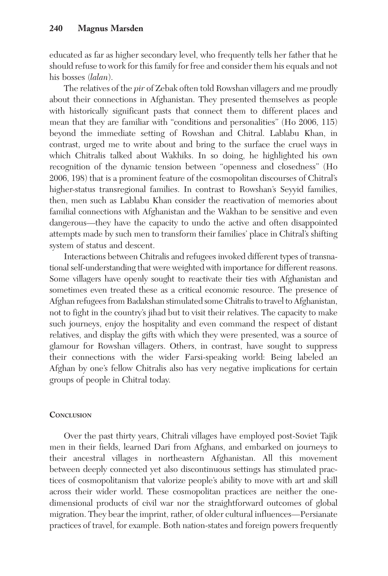educated as far as higher secondary level, who frequently tells her father that he should refuse to work for this family for free and consider them his equals and not his bosses (lalan).

The relatives of the *pir* of Zebak often told Rowshan villagers and me proudly about their connections in Afghanistan. They presented themselves as people with historically significant pasts that connect them to different places and mean that they are familiar with "conditions and personalities" (Ho 2006, 115) beyond the immediate setting of Rowshan and Chitral. Lablabu Khan, in contrast, urged me to write about and bring to the surface the cruel ways in which Chitralis talked about Wakhiks. In so doing, he highlighted his own recognition of the dynamic tension between "openness and closedness" (Ho 2006, 198) that is a prominent feature of the cosmopolitan discourses of Chitral's higher-status transregional families. In contrast to Rowshan's Seyyid families, then, men such as Lablabu Khan consider the reactivation of memories about familial connections with Afghanistan and the Wakhan to be sensitive and even dangerous—they have the capacity to undo the active and often disappointed attempts made by such men to transform their families' place in Chitral's shifting system of status and descent.

Interactions between Chitralis and refugees invoked different types of transnational self-understanding that were weighted with importance for different reasons. Some villagers have openly sought to reactivate their ties with Afghanistan and sometimes even treated these as a critical economic resource. The presence of Afghan refugees from Badakshan stimulated some Chitralis to travel to Afghanistan, not to fight in the country's jihad but to visit their relatives. The capacity to make such journeys, enjoy the hospitality and even command the respect of distant relatives, and display the gifts with which they were presented, was a source of glamour for Rowshan villagers. Others, in contrast, have sought to suppress their connections with the wider Farsi-speaking world: Being labeled an Afghan by one's fellow Chitralis also has very negative implications for certain groups of people in Chitral today.

## **CONCLUSION**

Over the past thirty years, Chitrali villages have employed post-Soviet Tajik men in their fields, learned Dari from Afghans, and embarked on journeys to their ancestral villages in northeastern Afghanistan. All this movement between deeply connected yet also discontinuous settings has stimulated practices of cosmopolitanism that valorize people's ability to move with art and skill across their wider world. These cosmopolitan practices are neither the onedimensional products of civil war nor the straightforward outcomes of global migration. They bear the imprint, rather, of older cultural influences—Persianate practices of travel, for example. Both nation-states and foreign powers frequently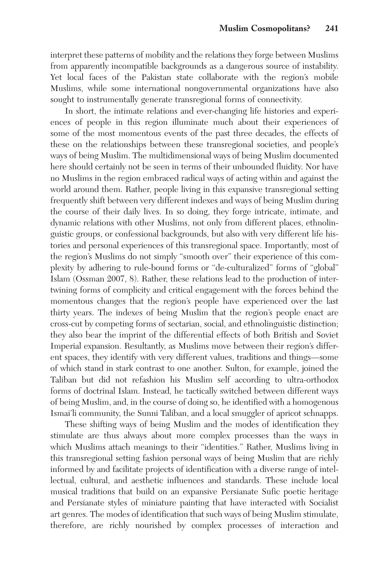interpret these patterns of mobility and the relations they forge between Muslims from apparently incompatible backgrounds as a dangerous source of instability. Yet local faces of the Pakistan state collaborate with the region's mobile Muslims, while some international nongovernmental organizations have also sought to instrumentally generate transregional forms of connectivity.

In short, the intimate relations and ever-changing life histories and experiences of people in this region illuminate much about their experiences of some of the most momentous events of the past three decades, the effects of these on the relationships between these transregional societies, and people's ways of being Muslim. The multidimensional ways of being Muslim documented here should certainly not be seen in terms of their unbounded fluidity. Nor have no Muslims in the region embraced radical ways of acting within and against the world around them. Rather, people living in this expansive transregional setting frequently shift between very different indexes and ways of being Muslim during the course of their daily lives. In so doing, they forge intricate, intimate, and dynamic relations with other Muslims, not only from different places, ethnolinguistic groups, or confessional backgrounds, but also with very different life histories and personal experiences of this transregional space. Importantly, most of the region's Muslims do not simply "smooth over" their experience of this complexity by adhering to rule-bound forms or "de-culturalized" forms of "global" Islam (Ossman 2007, 8). Rather, these relations lead to the production of intertwining forms of complicity and critical engagement with the forces behind the momentous changes that the region's people have experienced over the last thirty years. The indexes of being Muslim that the region's people enact are cross-cut by competing forms of sectarian, social, and ethnolinguistic distinction; they also bear the imprint of the differential effects of both British and Soviet Imperial expansion. Resultantly, as Muslims move between their region's different spaces, they identify with very different values, traditions and things—some of which stand in stark contrast to one another. Sulton, for example, joined the Taliban but did not refashion his Muslim self according to ultra-orthodox forms of doctrinal Islam. Instead, he tactically switched between different ways of being Muslim, and, in the course of doing so, he identified with a homogenous Ismai'li community, the Sunni Taliban, and a local smuggler of apricot schnapps.

These shifting ways of being Muslim and the modes of identification they stimulate are thus always about more complex processes than the ways in which Muslims attach meanings to their "identities." Rather, Muslims living in this transregional setting fashion personal ways of being Muslim that are richly informed by and facilitate projects of identification with a diverse range of intellectual, cultural, and aesthetic influences and standards. These include local musical traditions that build on an expansive Persianate Sufic poetic heritage and Persianate styles of miniature painting that have interacted with Socialist art genres. The modes of identification that such ways of being Muslim stimulate, therefore, are richly nourished by complex processes of interaction and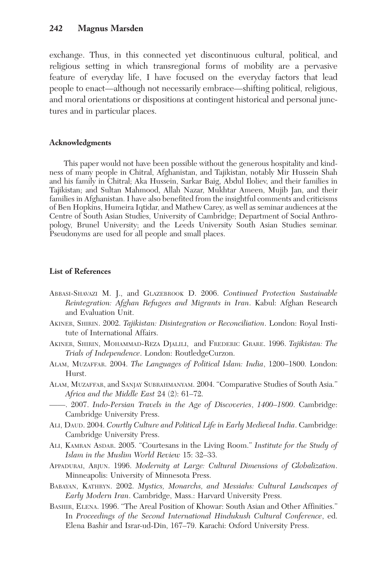exchange. Thus, in this connected yet discontinuous cultural, political, and religious setting in which transregional forms of mobility are a pervasive feature of everyday life, I have focused on the everyday factors that lead people to enact—although not necessarily embrace—shifting political, religious, and moral orientations or dispositions at contingent historical and personal junctures and in particular places.

#### Acknowledgments

This paper would not have been possible without the generous hospitality and kindness of many people in Chitral, Afghanistan, and Tajikistan, notably Mir Hussein Shah and his family in Chitral; Aka Hussein, Sarkar Baig, Abdul Iloliev, and their families in Tajikistan; and Sultan Mahmood, Allah Nazar, Mukhtar Ameen, Mujib Jan, and their families in Afghanistan. I have also benefited from the insightful comments and criticisms of Ben Hopkins, Humeira Iqtidar, and Mathew Carey, as well as seminar audiences at the Centre of South Asian Studies, University of Cambridge; Department of Social Anthropology, Brunel University; and the Leeds University South Asian Studies seminar. Pseudonyms are used for all people and small places.

#### List of References

- ABBASI-SHAVAZI M. J., and GLAZEBROOK D. 2006. Continued Protection Sustainable Reintegration: Afghan Refugees and Migrants in Iran. Kabul: Afghan Research and Evaluation Unit.
- AKINER, SHIRIN. 2002. Tajikistan: Disintegration or Reconciliation. London: Royal Institute of International Affairs.
- AKINER, SHIRIN, MOHAMMAD-REZA DJALILI, and FREDERIC GRARE. 1996. Tajikistan: The Trials of Independence. London: RoutledgeCurzon.
- ALAM, MUZAFFAR. 2004. The Languages of Political Islam: India, 1200–1800. London: Hurst.
- ALAM, MUZAFFAR, and SANJAY SUBRAHMANYAM. 2004. "Comparative Studies of South Asia." Africa and the Middle East 24 (2): 61–72.
- ——. 2007. Indo-Persian Travels in the Age of Discoveries, 1400–1800. Cambridge: Cambridge University Press.
- ALI, DAUD. 2004. Courtly Culture and Political Life in Early Medieval India. Cambridge: Cambridge University Press.
- ALI, KAMRAN ASDAR. 2005. "Courtesans in the Living Room." Institute for the Study of Islam in the Muslim World Review 15: 32–33.
- APPADURAI, ARJUN. 1996. Modernity at Large: Cultural Dimensions of Globalization. Minneapolis: University of Minnesota Press.
- BABAYAN, KATHRYN. 2002. Mystics, Monarchs, and Messiahs: Cultural Landscapes of Early Modern Iran. Cambridge, Mass.: Harvard University Press.
- BASHIR, ELENA. 1996. "The Areal Position of Khowar: South Asian and Other Affinities." In Proceedings of the Second International Hindukush Cultural Conference, ed. Elena Bashir and Israr-ud-Din, 167–79. Karachi: Oxford University Press.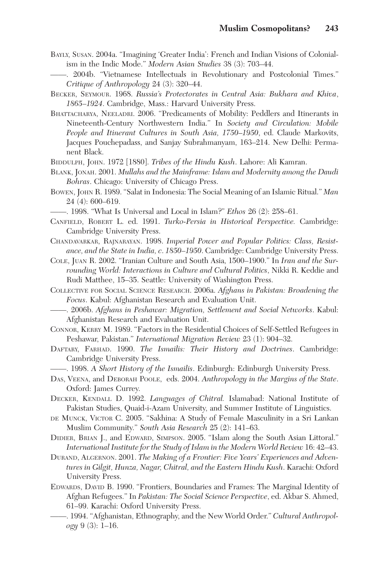- BAYLY, SUSAN. 2004a. "Imagining 'Greater India': French and Indian Visions of Colonialism in the Indic Mode." Modern Asian Studies 38 (3): 703–44.
- ——. 2004b. "Vietnamese Intellectuals in Revolutionary and Postcolonial Times." Critique of Anthropology 24 (3): 320–44.
- BECKER, SEYMOUR. 1968. Russia's Protectorates in Central Asia: Bukhara and Khiva, 1865–1924. Cambridge, Mass.: Harvard University Press.
- BHATTACHARYA, NEELADRI. 2006. "Predicaments of Mobility: Peddlers and Itinerants in Nineteenth-Century Northwestern India." In Society and Circulation: Mobile People and Itinerant Cultures in South Asia, 1750–1950, ed. Claude Markovits, Jacques Pouchepadass, and Sanjay Subrahmanyam, 163–214. New Delhi: Permanent Black.
- BIDDULPH, JOHN. 1972 [1880]. Tribes of the Hindu Kush. Lahore: Ali Kamran.
- BLANK, JONAH. 2001. Mullahs and the Mainframe: Islam and Modernity among the Daudi Bohras. Chicago: University of Chicago Press.
- BOWEN, JOHN R. 1989. "Salat in Indonesia: The Social Meaning of an Islamic Ritual." Man 24 (4): 600–619.
- ——. 1998. "What Is Universal and Local in Islam?" Ethos 26 (2): 258–61.
- CANFIELD, ROBERT L. ed. 1991. Turko-Persia in Historical Perspective. Cambridge: Cambridge University Press.
- CHANDAVARKAR, RAJNARAYAN. 1998. Imperial Power and Popular Politics: Class, Resistance, and the State in India, c. 1850–1950. Cambridge: Cambridge University Press.
- COLE, JUAN R. 2002. "Iranian Culture and South Asia, 1500–1900." In Iran and the Surrounding World: Interactions in Culture and Cultural Politics, Nikki R. Keddie and Rudi Matthee, 15–35. Seattle: University of Washington Press.
- COLLECTIVE FOR SOCIAL SCIENCE RESEARCH. 2006a. Afghans in Pakistan: Broadening the Focus. Kabul: Afghanistan Research and Evaluation Unit.
- ——. 2006b. Afghans in Peshawar: Migration, Settlement and Social Networks. Kabul: Afghanistan Research and Evaluation Unit.
- CONNOR, KERRY M. 1989. "Factors in the Residential Choices of Self-Settled Refugees in Peshawar, Pakistan." International Migration Review 23 (1): 904–32.
- DAFTARY, FARHAD. 1990. The Ismailis: Their History and Doctrines. Cambridge: Cambridge University Press.
- —. 1998. A Short History of the Ismailis. Edinburgh: Edinburgh University Press.
- DAS, VEENA, and DEBORAH POOLE, eds. 2004. Anthropology in the Margins of the State. Oxford: James Currey.
- DECKER, KENDALL D. 1992. Languages of Chitral. Islamabad: National Institute of Pakistan Studies, Quaid-i-Azam University, and Summer Institute of Linguistics.
- DE MUNCK, VICTOR C. 2005. "Sakhina: A Study of Female Masculinity in a Sri Lankan Muslim Community." South Asia Research 25 (2): 141–63.
- DIDIER, BRIAN J., and EDWARD, SIMPSON. 2005. "Islam along the South Asian Littoral." International Institute for the Study of Islam in the Modern World Review 16: 42–43.
- DURAND, ALGERNON. 2001. The Making of a Frontier: Five Years' Experiences and Adventures in Gilgit, Hunza, Nagar, Chitral, and the Eastern Hindu Kush. Karachi: Oxford University Press.
- EDWARDS, DAVID B. 1990. "Frontiers, Boundaries and Frames: The Marginal Identity of Afghan Refugees." In Pakistan: The Social Science Perspective, ed. Akbar S. Ahmed, 61–99. Karachi: Oxford University Press.
- -. 1994. "Afghanistan, Ethnography, and the New World Order." Cultural Anthropol $ogy\,9(3): 1-16.$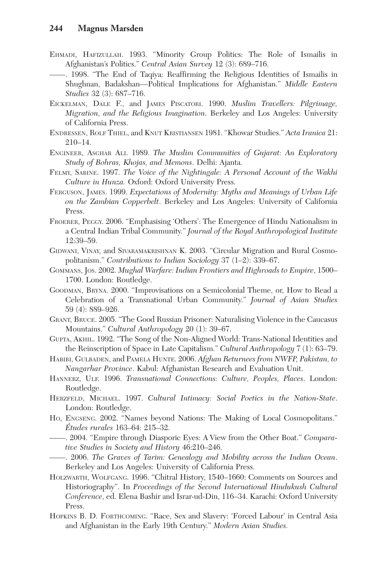- EHMADI, HAFIZULLAH. 1993. "Minority Group Politics: The Role of Ismailis in Afghanistan's Politics." Central Asian Survey 12 (3): 689–716.
- ——. 1998. "The End of Taqiya: Reaffirming the Religious Identities of Ismailis in Shughnan, Badakshan—Political Implications for Afghanistan." Middle Eastern Studies 32 (3): 687–716.
- EICKELMAN, DALE F., and JAMES PISCATORI. 1990. Muslim Travellers: Pilgrimage, Migration, and the Religious Imagination. Berkeley and Los Angeles: University of California Press.
- ENDRESSEN, ROLF THIEL, and KNUT KRISTIANSEN 1981. "Khowar Studies." Acta Iranica 21: 210–14.
- ENGINEER, ASGHAR ALI. 1989. The Muslim Communities of Gujarat: An Exploratory Study of Bohras, Khojas, and Memons. Delhi: Ajanta.
- FELMY, SABINE. 1997. The Voice of the Nightingale: A Personal Account of the Wakhi Culture in Hunza. Oxford: Oxford University Press.
- FERGUSON, JAMES. 1999. Expectations of Modernity: Myths and Meanings of Urban Life on the Zambian Copperbelt. Berkeley and Los Angeles: University of California Press.
- FROERER, PEGGY. 2006. "Emphasising 'Others': The Emergence of Hindu Nationalism in a Central Indian Tribal Community." Journal of the Royal Anthropological Institute 12:39–59.
- GIDWANI, VINAY, and SIVARAMAKRISHNAN K. 2003. "Circular Migration and Rural Cosmopolitanism." Contributions to Indian Sociology 37 (1–2): 339–67.
- GOMMANS, JOS. 2002. Mughal Warfare: Indian Frontiers and Highroads to Empire, 1500– 1700. London: Routledge.
- GOODMAN, BRYNA. 2000. "Improvisations on a Semicolonial Theme, or, How to Read a Celebration of a Transnational Urban Community." Journal of Asian Studies 59 (4): 889–926.
- GRANT, BRUCE. 2005. "The Good Russian Prisoner: Naturalising Violence in the Caucasus Mountains." Cultural Anthropology 20 (1): 39–67.
- GUPTA, AKHIL. 1992. "The Song of the Non-Aligned World: Trans-National Identities and the Reinscription of Space in Late Capitalism." Cultural Anthropology 7 (1): 63–79.
- HABIBI, GULBADEN, and PAMELA HUNTE. 2006. Afghan Returnees from NWFP, Pakistan, to Nangarhar Province. Kabul: Afghanistan Research and Evaluation Unit.
- HANNERZ, ULF. 1996. Transnational Connections: Culture, Peoples, Places. London: Routledge.
- HERZFELD, MICHAEL. 1997. Cultural Intimacy: Social Poetics in the Nation-State. London: Routledge.
- HO, ENGSENG. 2002. "Names beyond Nations: The Making of Local Cosmopolitans." Études rurales 163–64: 215–32.
- ——. 2004. "Empire through Diasporic Eyes: A View from the Other Boat." Comparative Studies in Society and History 46:210–246.
- ——. 2006. The Graves of Tarim: Genealogy and Mobility across the Indian Ocean. Berkeley and Los Angeles: University of California Press.
- HOLZWARTH, WOLFGANG. 1996. "Chitral History, 1540–1660: Comments on Sources and Historiography". In Proceedings of the Second International Hindukush Cultural Conference, ed. Elena Bashir and Israr-ud-Din, 116–34. Karachi: Oxford University Press.
- HOPKINS B. D. FORTHCOMING. "Race, Sex and Slavery: 'Forced Labour' in Central Asia and Afghanistan in the Early 19th Century." Modern Asian Studies.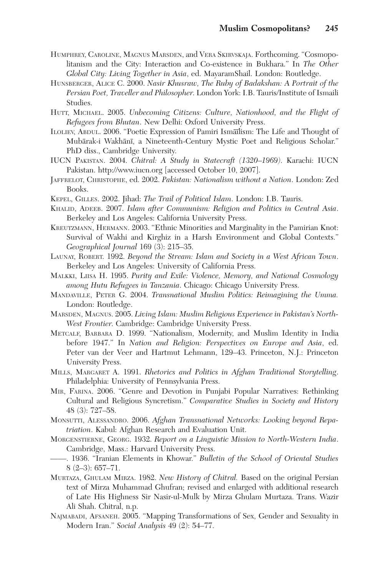- HUMPHREY, CAROLINE, MAGNUS MARSDEN, and VERA SKIRVSKAJA. Forthcoming. "Cosmopolitanism and the City: Interaction and Co-existence in Bukhara." In The Other Global City: Living Together in Asia, ed. MayaramShail. London: Routledge.
- HUNSBERGER, ALICE C. 2000. Nasir Khusraw, The Ruby of Badakshan: A Portrait of the Persian Poet, Traveller and Philosopher. London York: I.B. Tauris/Institute of Ismaili Studies.
- HUTT, MICHAEL. 2005. Unbecoming Citizens: Culture, Nationhood, and the Flight of Refugees from Bhutan. New Delhi: Oxford University Press.
- ILOLIEV, ABDUL. 2006. "Poetic Expression of Pamiri Ismaīlism: The Life and Thought of Mubārak-i Wakhānī, a Nineteenth-Century Mystic Poet and Religious Scholar." PhD diss., Cambridge University.
- IUCN PAKISTAN. 2004. Chitral: A Study in Statecraft (1320–1969). Karachi: IUCN Pakistan. http://www.iucn.org [accessed October 10, 2007].
- JAFFRELOT, CHRISTOPHE, ed. 2002. Pakistan: Nationalism without a Nation. London: Zed Books.
- KEPEL, GILLES. 2002. Jihad: The Trail of Political Islam. London: I.B. Tauris.
- KHALID, ADEEB. 2007. Islam after Communism: Religion and Politics in Central Asia. Berkeley and Los Angeles: California University Press.
- KREUTZMANN, HERMANN. 2003. "Ethnic Minorities and Marginality in the Pamirian Knot: Survival of Wakhi and Kirghiz in a Harsh Environment and Global Contexts." Geographical Journal 169 (3): 215–35.
- LAUNAY, ROBERT. 1992. Beyond the Stream: Islam and Society in a West African Town. Berkeley and Los Angeles: University of California Press.
- MALKKI, LIISA H. 1995. Purity and Exile: Violence, Memory, and National Cosmology among Hutu Refugees in Tanzania. Chicago: Chicago University Press.
- MANDAVILLE, PETER G. 2004. Transnational Muslim Politics: Reimagining the Umma. London: Routledge.
- MARSDEN, MAGNUS. 2005. Living Islam: Muslim Religious Experience in Pakistan's North-West Frontier. Cambridge: Cambridge University Press.
- METCALF, BARBARA D. 1999. "Nationalism, Modernity, and Muslim Identity in India before 1947." In Nation and Religion: Perspectives on Europe and Asia, ed. Peter van der Veer and Hartmut Lehmann, 129–43. Princeton, N.J.: Princeton University Press.
- MILLS, MARGARET A. 1991. Rhetorics and Politics in Afghan Traditional Storytelling. Philadelphia: University of Pennsylvania Press.
- MIR, FARINA. 2006. "Genre and Devotion in Punjabi Popular Narratives: Rethinking Cultural and Religious Syncretism." Comparative Studies in Society and History 48 (3): 727–58.
- MONSUTTI, ALESSANDRO. 2006. Afghan Transnational Networks: Looking beyond Repatriation. Kabul: Afghan Research and Evaluation Unit.
- MORGENSTIERNE, GEORG. 1932. Report on a Linguistic Mission to North-Western India. Cambridge, Mass.: Harvard University Press.
- ——. 1936. "Iranian Elements in Khowar." Bulletin of the School of Oriental Studies 8 (2–3): 657–71.
- MURTAZA, GHULAM MIRZA. 1982. New History of Chitral. Based on the original Persian text of Mirza Muhammad Ghufran; revised and enlarged with additional research of Late His Highness Sir Nasir-ul-Mulk by Mirza Ghulam Murtaza. Trans. Wazir Ali Shah. Chitral, n.p.
- NAJMABADI, AFSANEH. 2005. "Mapping Transformations of Sex, Gender and Sexuality in Modern Iran." Social Analysis 49 (2): 54–77.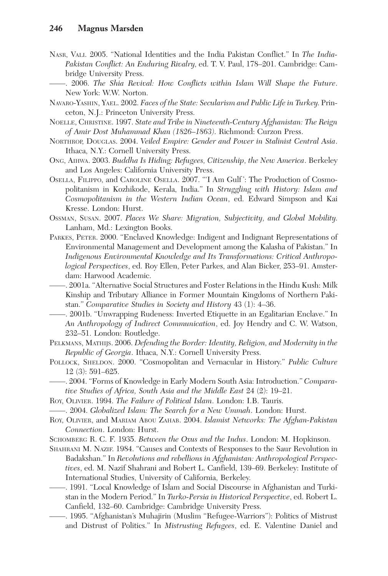- NASR, VALI. 2005. "National Identities and the India Pakistan Conflict." In The India-Pakistan Conflict: An Enduring Rivalry, ed. T. V. Paul, 178–201. Cambridge: Cambridge University Press.
- ——. 2006. The Shia Revival: How Conflicts within Islam Will Shape the Future. New York: W.W. Norton.
- NAVARO-YASHIN, YAEL. 2002. Faces of the State: Secularism and Public Life in Turkey. Princeton, N.J.: Princeton University Press.
- NOELLE, CHRISTINE. 1997. State and Tribe in Nineteenth-Century Afghanistan: The Reign of Amir Dost Muhammad Khan (1826–1863). Richmond: Curzon Press.
- NORTHROP, DOUGLAS. 2004. Veiled Empire: Gender and Power in Stalinist Central Asia. Ithaca, N.Y.: Cornell University Press.
- ONG, AIHWA. 2003. Buddha Is Hiding: Refugees, Citizenship, the New America. Berkeley and Los Angeles: California University Press.
- OSELLA, FILIPPO, and CAROLINE OSELLA. 2007. "'I Am Gulf ': The Production of Cosmopolitanism in Kozhikode, Kerala, India." In Struggling with History: Islam and Cosmopolitanism in the Western Indian Ocean, ed. Edward Simpson and Kai Kresse. London: Hurst.
- OSSMAN, SUSAN. 2007. Places We Share: Migration, Subjectivity, and Global Mobility. Lanham, Md.: Lexington Books.
- PARKES, PETER. 2000. "Enclaved Knowledge: Indigent and Indignant Representations of Environmental Management and Development among the Kalasha of Pakistan." In Indigenous Environmental Knowledge and Its Transformations: Critical Anthropological Perspectives, ed. Roy Ellen, Peter Parkes, and Alan Bicker, 253–91. Amsterdam: Harwood Academic.
- ——. 2001a. "Alternative Social Structures and Foster Relations in the Hindu Kush: Milk Kinship and Tributary Alliance in Former Mountain Kingdoms of Northern Pakistan." Comparative Studies in Society and History 43 (1): 4–36.
- ——. 2001b. "Unwrapping Rudeness: Inverted Etiquette in an Egalitarian Enclave." In An Anthropology of Indirect Communication, ed. Joy Hendry and C. W. Watson, 232–51. London: Routledge.
- PELKMANS, MATHIJS. 2006. Defending the Border: Identity, Religion, and Modernity in the Republic of Georgia. Ithaca, N.Y.: Cornell University Press.
- POLLOCK, SHELDON. 2000. "Cosmopolitan and Vernacular in History." Public Culture 12 (3): 591–625.
- –. 2004. "Forms of Knowledge in Early Modern South Asia: Introduction." *Compara*tive Studies of Africa, South Asia and the Middle East 24 (2): 19–21.
- ROY, OLIVIER. 1994. The Failure of Political Islam. London: I.B. Tauris.
- ——. 2004. Globalized Islam: The Search for a New Ummah. London: Hurst.
- ROY, OLIVIER, and MARIAM ABOU ZAHAB. 2004. Islamist Networks: The Afghan-Pakistan Connection. London: Hurst.
- SCHOMBERG R. C. F. 1935. Between the Oxus and the Indus. London: M. Hopkinson.
- SHAHRANI M. NAZIF. 1984. "Causes and Contexts of Responses to the Saur Revolution in Badakshan." In Revolutions and rebellions in Afghanistan: Anthropological Perspectives, ed. M. Nazif Shahrani and Robert L. Canfield, 139–69. Berkeley: Institute of International Studies, University of California, Berkeley.
- ——. 1991. "Local Knowledge of Islam and Social Discourse in Afghanistan and Turkistan in the Modern Period." In Turko-Persia in Historical Perspective, ed. Robert L. Canfield, 132–60. Cambridge: Cambridge University Press.
- ——. 1995. "Afghanistan's Muhajirin (Muslim "Refugee-Warriors"): Politics of Mistrust and Distrust of Politics." In Mistrusting Refugees, ed. E. Valentine Daniel and